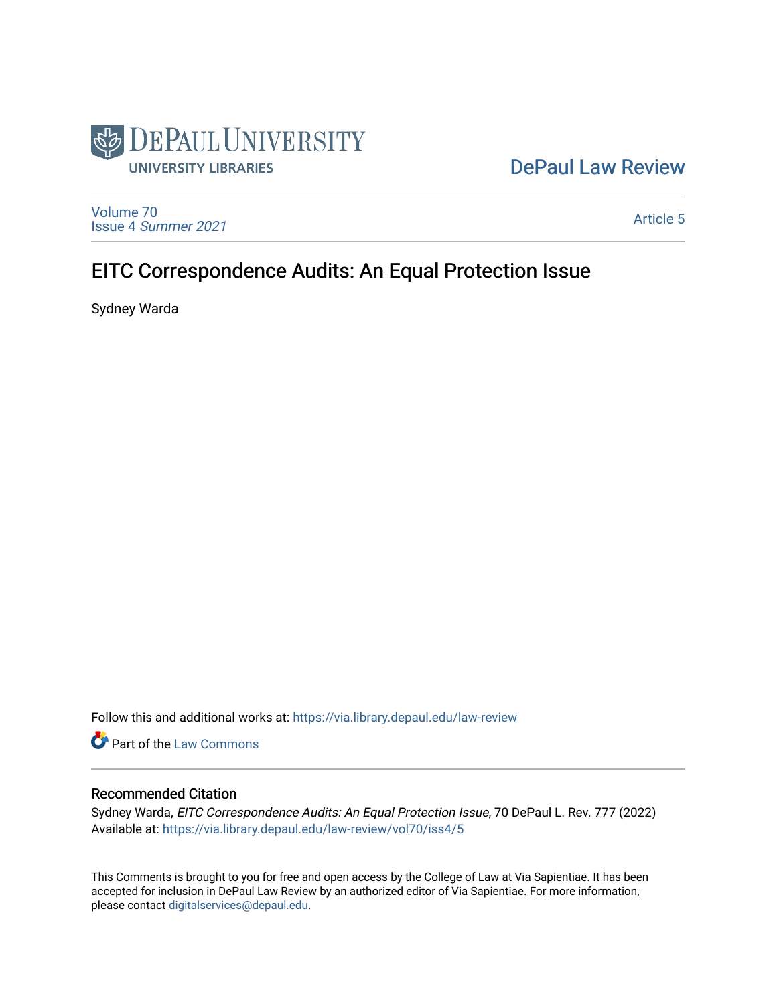

## [DePaul Law Review](https://via.library.depaul.edu/law-review)

[Volume 70](https://via.library.depaul.edu/law-review/vol70) Issue 4 [Summer 2021](https://via.library.depaul.edu/law-review/vol70/iss4) 

[Article 5](https://via.library.depaul.edu/law-review/vol70/iss4/5) 

# EITC Correspondence Audits: An Equal Protection Issue

Sydney Warda

Follow this and additional works at: [https://via.library.depaul.edu/law-review](https://via.library.depaul.edu/law-review?utm_source=via.library.depaul.edu%2Flaw-review%2Fvol70%2Fiss4%2F5&utm_medium=PDF&utm_campaign=PDFCoverPages) 

Part of the [Law Commons](http://network.bepress.com/hgg/discipline/578?utm_source=via.library.depaul.edu%2Flaw-review%2Fvol70%2Fiss4%2F5&utm_medium=PDF&utm_campaign=PDFCoverPages)

## Recommended Citation

Sydney Warda, EITC Correspondence Audits: An Equal Protection Issue, 70 DePaul L. Rev. 777 (2022) Available at: [https://via.library.depaul.edu/law-review/vol70/iss4/5](https://via.library.depaul.edu/law-review/vol70/iss4/5?utm_source=via.library.depaul.edu%2Flaw-review%2Fvol70%2Fiss4%2F5&utm_medium=PDF&utm_campaign=PDFCoverPages) 

This Comments is brought to you for free and open access by the College of Law at Via Sapientiae. It has been accepted for inclusion in DePaul Law Review by an authorized editor of Via Sapientiae. For more information, please contact [digitalservices@depaul.edu.](mailto:digitalservices@depaul.edu)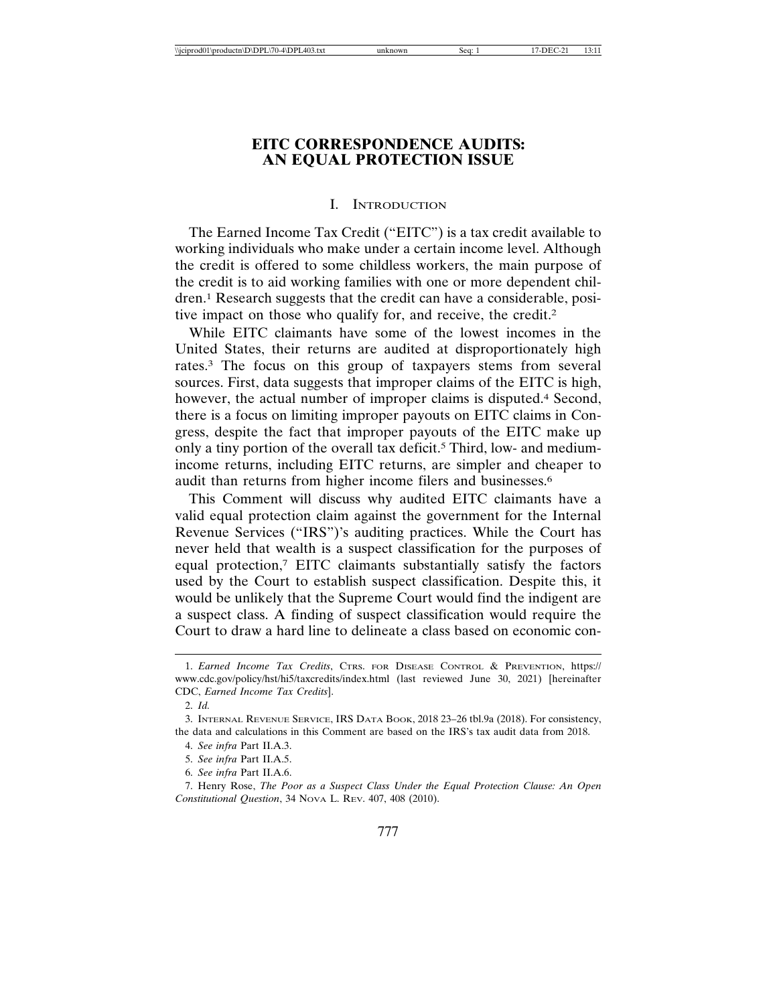## **EITC CORRESPONDENCE AUDITS: AN EQUAL PROTECTION ISSUE**

#### I. INTRODUCTION

The Earned Income Tax Credit ("EITC") is a tax credit available to working individuals who make under a certain income level. Although the credit is offered to some childless workers, the main purpose of the credit is to aid working families with one or more dependent children.1 Research suggests that the credit can have a considerable, positive impact on those who qualify for, and receive, the credit.2

While EITC claimants have some of the lowest incomes in the United States, their returns are audited at disproportionately high rates.3 The focus on this group of taxpayers stems from several sources. First, data suggests that improper claims of the EITC is high, however, the actual number of improper claims is disputed.<sup>4</sup> Second, there is a focus on limiting improper payouts on EITC claims in Congress, despite the fact that improper payouts of the EITC make up only a tiny portion of the overall tax deficit.5 Third, low- and mediumincome returns, including EITC returns, are simpler and cheaper to audit than returns from higher income filers and businesses.6

This Comment will discuss why audited EITC claimants have a valid equal protection claim against the government for the Internal Revenue Services ("IRS")'s auditing practices. While the Court has never held that wealth is a suspect classification for the purposes of equal protection,7 EITC claimants substantially satisfy the factors used by the Court to establish suspect classification. Despite this, it would be unlikely that the Supreme Court would find the indigent are a suspect class. A finding of suspect classification would require the Court to draw a hard line to delineate a class based on economic con-

<sup>1.</sup> *Earned Income Tax Credits*, CTRS. FOR DISEASE CONTROL & PREVENTION, https:// www.cdc.gov/policy/hst/hi5/taxcredits/index.html (last reviewed June 30, 2021) [hereinafter CDC, *Earned Income Tax Credits*].

<sup>2.</sup> *Id.*

<sup>3.</sup> INTERNAL REVENUE SERVICE, IRS DATA BOOK, 2018 23–26 tbl.9a (2018). For consistency, the data and calculations in this Comment are based on the IRS's tax audit data from 2018.

<sup>4.</sup> *See infra* Part II.A.3.

<sup>5.</sup> *See infra* Part II.A.5.

<sup>6.</sup> *See infra* Part II.A.6.

<sup>7.</sup> Henry Rose, *The Poor as a Suspect Class Under the Equal Protection Clause: An Open Constitutional Question*, 34 NOVA L. REV. 407, 408 (2010).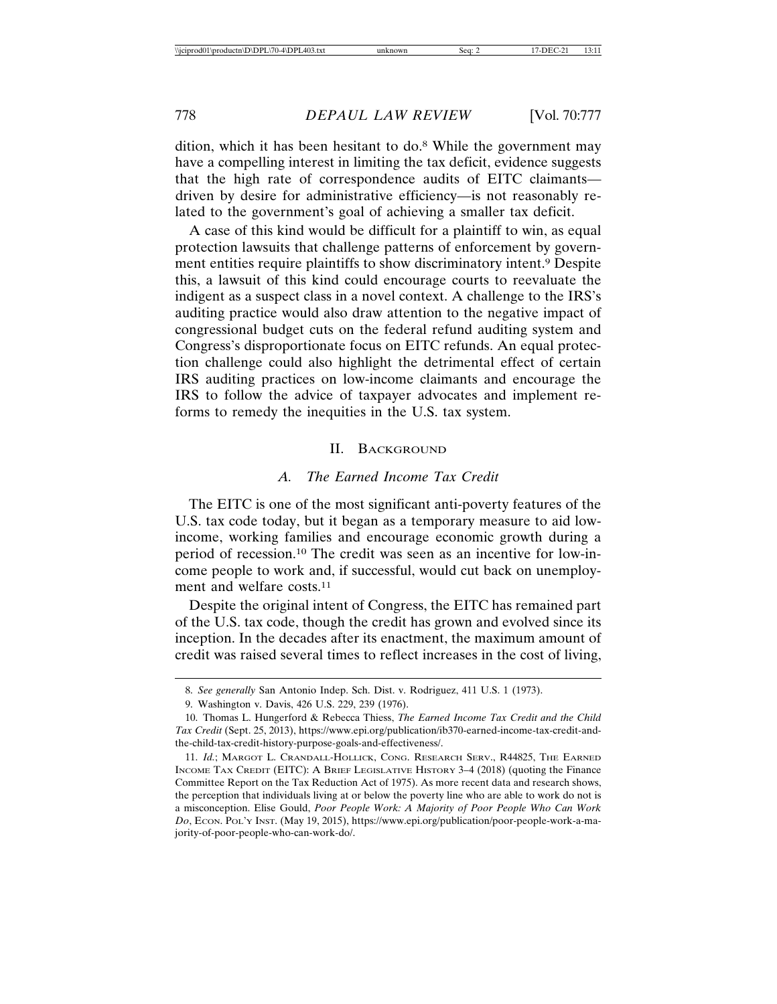dition, which it has been hesitant to do.8 While the government may have a compelling interest in limiting the tax deficit, evidence suggests that the high rate of correspondence audits of EITC claimants driven by desire for administrative efficiency—is not reasonably related to the government's goal of achieving a smaller tax deficit.

A case of this kind would be difficult for a plaintiff to win, as equal protection lawsuits that challenge patterns of enforcement by government entities require plaintiffs to show discriminatory intent.9 Despite this, a lawsuit of this kind could encourage courts to reevaluate the indigent as a suspect class in a novel context. A challenge to the IRS's auditing practice would also draw attention to the negative impact of congressional budget cuts on the federal refund auditing system and Congress's disproportionate focus on EITC refunds. An equal protection challenge could also highlight the detrimental effect of certain IRS auditing practices on low-income claimants and encourage the IRS to follow the advice of taxpayer advocates and implement reforms to remedy the inequities in the U.S. tax system.

#### II. BACKGROUND

#### *A. The Earned Income Tax Credit*

The EITC is one of the most significant anti-poverty features of the U.S. tax code today, but it began as a temporary measure to aid lowincome, working families and encourage economic growth during a period of recession.10 The credit was seen as an incentive for low-income people to work and, if successful, would cut back on unemployment and welfare costs.11

Despite the original intent of Congress, the EITC has remained part of the U.S. tax code, though the credit has grown and evolved since its inception. In the decades after its enactment, the maximum amount of credit was raised several times to reflect increases in the cost of living,

<sup>8.</sup> *See generally* San Antonio Indep. Sch. Dist. v. Rodriguez, 411 U.S. 1 (1973).

<sup>9.</sup> Washington v. Davis, 426 U.S. 229, 239 (1976).

<sup>10.</sup> Thomas L. Hungerford & Rebecca Thiess, *The Earned Income Tax Credit and the Child Tax Credit* (Sept. 25, 2013), https://www.epi.org/publication/ib370-earned-income-tax-credit-andthe-child-tax-credit-history-purpose-goals-and-effectiveness/.

<sup>11.</sup> *Id.*; MARGOT L. CRANDALL-HOLLICK, CONG. RESEARCH SERV., R44825, THE EARNED INCOME TAX CREDIT (EITC): A BRIEF LEGISLATIVE HISTORY 3-4 (2018) (quoting the Finance Committee Report on the Tax Reduction Act of 1975). As more recent data and research shows, the perception that individuals living at or below the poverty line who are able to work do not is a misconception. Elise Gould, *Poor People Work: A Majority of Poor People Who Can Work Do*, ECON. POL'Y INST. (May 19, 2015), https://www.epi.org/publication/poor-people-work-a-majority-of-poor-people-who-can-work-do/.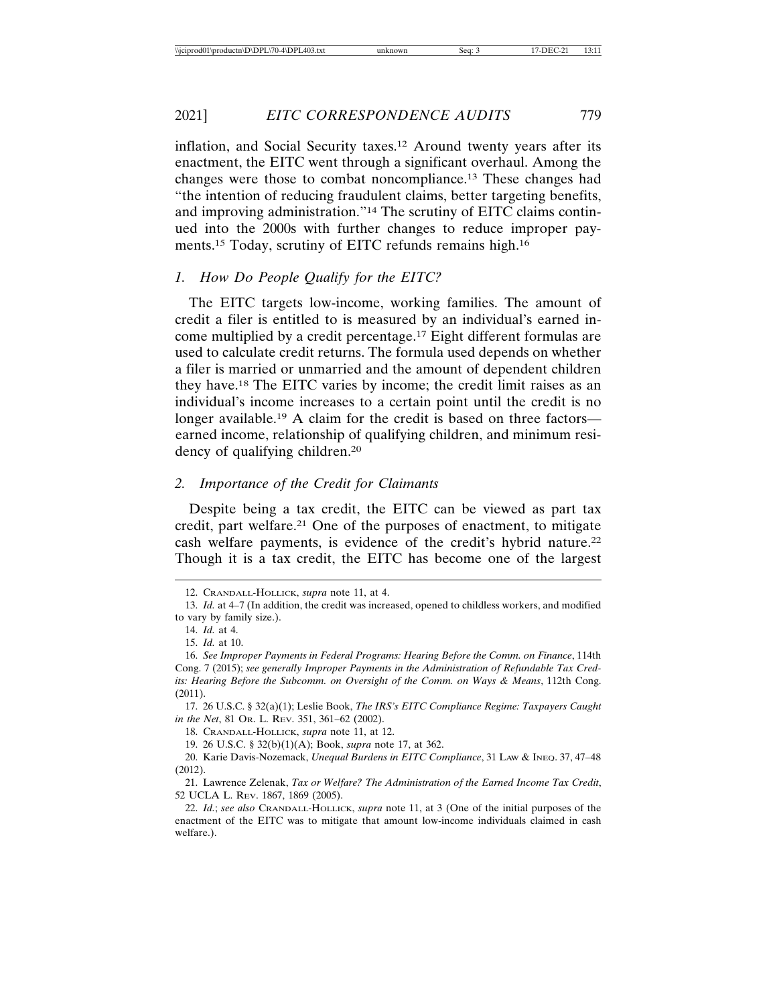2021] *EITC CORRESPONDENCE AUDITS* 779

inflation, and Social Security taxes.12 Around twenty years after its enactment, the EITC went through a significant overhaul. Among the changes were those to combat noncompliance.13 These changes had "the intention of reducing fraudulent claims, better targeting benefits, and improving administration."14 The scrutiny of EITC claims continued into the 2000s with further changes to reduce improper payments.15 Today, scrutiny of EITC refunds remains high.16

#### *1. How Do People Qualify for the EITC?*

The EITC targets low-income, working families. The amount of credit a filer is entitled to is measured by an individual's earned income multiplied by a credit percentage.17 Eight different formulas are used to calculate credit returns. The formula used depends on whether a filer is married or unmarried and the amount of dependent children they have.18 The EITC varies by income; the credit limit raises as an individual's income increases to a certain point until the credit is no longer available.<sup>19</sup> A claim for the credit is based on three factors earned income, relationship of qualifying children, and minimum residency of qualifying children.20

#### *2. Importance of the Credit for Claimants*

Despite being a tax credit, the EITC can be viewed as part tax credit, part welfare.21 One of the purposes of enactment, to mitigate cash welfare payments, is evidence of the credit's hybrid nature.22 Though it is a tax credit, the EITC has become one of the largest

<sup>12.</sup> CRANDALL-HOLLICK, *supra* note 11, at 4.

<sup>13.</sup> *Id.* at 4–7 (In addition, the credit was increased, opened to childless workers, and modified to vary by family size.).

<sup>14.</sup> *Id.* at 4.

<sup>15.</sup> *Id.* at 10.

<sup>16.</sup> *See Improper Payments in Federal Programs: Hearing Before the Comm. on Finance*, 114th Cong. 7 (2015); *see generally Improper Payments in the Administration of Refundable Tax Credits: Hearing Before the Subcomm. on Oversight of the Comm. on Ways & Means*, 112th Cong. (2011).

<sup>17. 26</sup> U.S.C. § 32(a)(1); Leslie Book, *The IRS's EITC Compliance Regime: Taxpayers Caught in the Net*, 81 OR. L. REV. 351, 361–62 (2002).

<sup>18.</sup> CRANDALL-HOLLICK, *supra* note 11, at 12.

<sup>19. 26</sup> U.S.C. § 32(b)(1)(A); Book, *supra* note 17, at 362.

<sup>20.</sup> Karie Davis-Nozemack, *Unequal Burdens in EITC Compliance*, 31 LAW & INEQ. 37, 47–48 (2012).

<sup>21.</sup> Lawrence Zelenak, *Tax or Welfare? The Administration of the Earned Income Tax Credit*, 52 UCLA L. REV. 1867, 1869 (2005).

<sup>22.</sup> *Id.*; *see also* CRANDALL-HOLLICK, *supra* note 11, at 3 (One of the initial purposes of the enactment of the EITC was to mitigate that amount low-income individuals claimed in cash welfare.).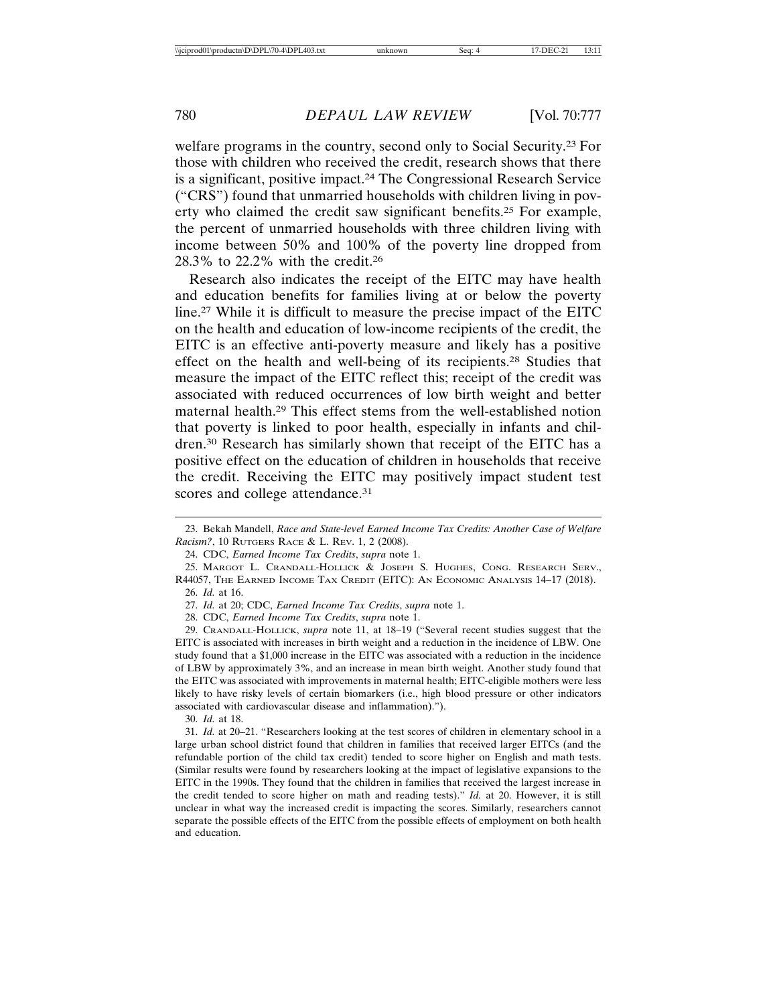welfare programs in the country, second only to Social Security.23 For those with children who received the credit, research shows that there is a significant, positive impact.24 The Congressional Research Service ("CRS") found that unmarried households with children living in poverty who claimed the credit saw significant benefits.25 For example, the percent of unmarried households with three children living with income between 50% and 100% of the poverty line dropped from 28.3% to 22.2% with the credit.26

Research also indicates the receipt of the EITC may have health and education benefits for families living at or below the poverty line.27 While it is difficult to measure the precise impact of the EITC on the health and education of low-income recipients of the credit, the EITC is an effective anti-poverty measure and likely has a positive effect on the health and well-being of its recipients.28 Studies that measure the impact of the EITC reflect this; receipt of the credit was associated with reduced occurrences of low birth weight and better maternal health.29 This effect stems from the well-established notion that poverty is linked to poor health, especially in infants and children.30 Research has similarly shown that receipt of the EITC has a positive effect on the education of children in households that receive the credit. Receiving the EITC may positively impact student test scores and college attendance.<sup>31</sup>

30. *Id.* at 18.

<sup>23.</sup> Bekah Mandell, *Race and State-level Earned Income Tax Credits: Another Case of Welfare Racism?*, 10 RUTGERS RACE & L. REV. 1, 2 (2008).

<sup>24.</sup> CDC, *Earned Income Tax Credits*, *supra* note 1.

<sup>25.</sup> MARGOT L. CRANDALL-HOLLICK & JOSEPH S. HUGHES, CONG. RESEARCH SERV., R44057, THE EARNED INCOME TAX CREDIT (EITC): AN ECONOMIC ANALYSIS 14-17 (2018). 26. *Id.* at 16.

<sup>27.</sup> *Id.* at 20; CDC, *Earned Income Tax Credits*, *supra* note 1.

<sup>28.</sup> CDC, *Earned Income Tax Credits*, *supra* note 1.

<sup>29.</sup> CRANDALL-HOLLICK, *supra* note 11, at 18–19 ("Several recent studies suggest that the EITC is associated with increases in birth weight and a reduction in the incidence of LBW. One study found that a \$1,000 increase in the EITC was associated with a reduction in the incidence of LBW by approximately 3%, and an increase in mean birth weight. Another study found that the EITC was associated with improvements in maternal health; EITC-eligible mothers were less likely to have risky levels of certain biomarkers (i.e., high blood pressure or other indicators associated with cardiovascular disease and inflammation).").

<sup>31.</sup> *Id.* at 20–21. "Researchers looking at the test scores of children in elementary school in a large urban school district found that children in families that received larger EITCs (and the refundable portion of the child tax credit) tended to score higher on English and math tests. (Similar results were found by researchers looking at the impact of legislative expansions to the EITC in the 1990s. They found that the children in families that received the largest increase in the credit tended to score higher on math and reading tests)." *Id.* at 20. However, it is still unclear in what way the increased credit is impacting the scores. Similarly, researchers cannot separate the possible effects of the EITC from the possible effects of employment on both health and education.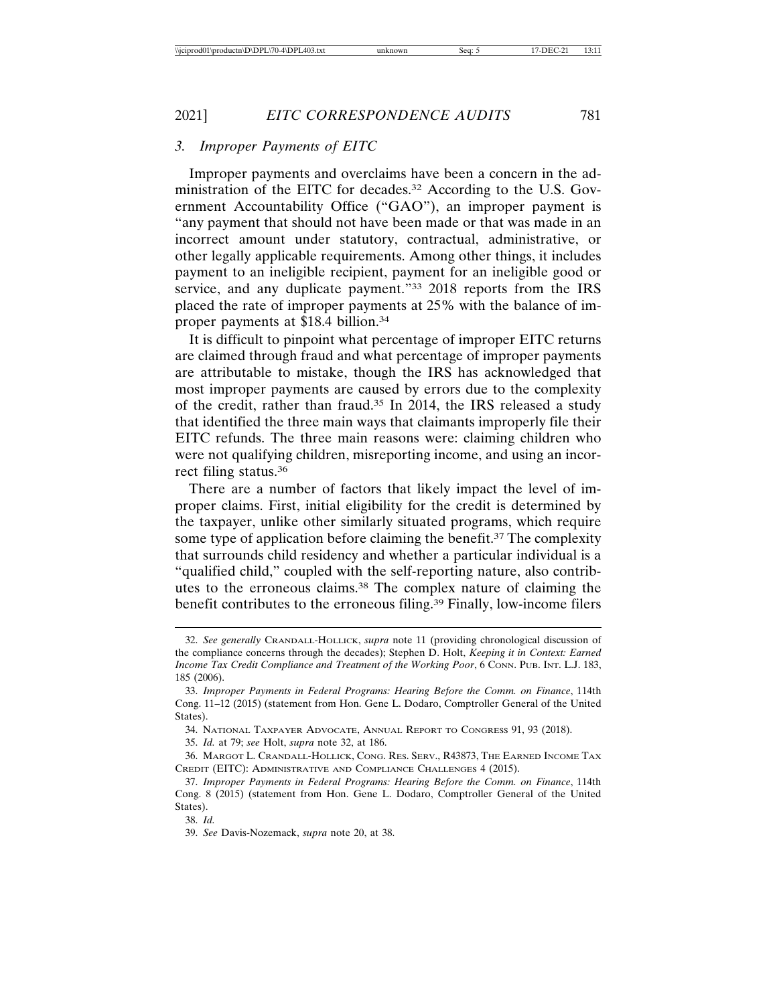## *3. Improper Payments of EITC*

Improper payments and overclaims have been a concern in the administration of the EITC for decades.32 According to the U.S. Government Accountability Office ("GAO"), an improper payment is "any payment that should not have been made or that was made in an incorrect amount under statutory, contractual, administrative, or other legally applicable requirements. Among other things, it includes payment to an ineligible recipient, payment for an ineligible good or service, and any duplicate payment."33 2018 reports from the IRS placed the rate of improper payments at 25% with the balance of improper payments at \$18.4 billion.34

It is difficult to pinpoint what percentage of improper EITC returns are claimed through fraud and what percentage of improper payments are attributable to mistake, though the IRS has acknowledged that most improper payments are caused by errors due to the complexity of the credit, rather than fraud.35 In 2014, the IRS released a study that identified the three main ways that claimants improperly file their EITC refunds. The three main reasons were: claiming children who were not qualifying children, misreporting income, and using an incorrect filing status.36

There are a number of factors that likely impact the level of improper claims. First, initial eligibility for the credit is determined by the taxpayer, unlike other similarly situated programs, which require some type of application before claiming the benefit.<sup>37</sup> The complexity that surrounds child residency and whether a particular individual is a "qualified child," coupled with the self-reporting nature, also contributes to the erroneous claims.38 The complex nature of claiming the benefit contributes to the erroneous filing.39 Finally, low-income filers

<sup>32.</sup> *See generally* CRANDALL-HOLLICK, *supra* note 11 (providing chronological discussion of the compliance concerns through the decades); Stephen D. Holt, *Keeping it in Context: Earned Income Tax Credit Compliance and Treatment of the Working Poor*, 6 CONN. PUB. INT. L.J. 183, 185 (2006).

<sup>33.</sup> *Improper Payments in Federal Programs: Hearing Before the Comm. on Finance*, 114th Cong. 11–12 (2015) (statement from Hon. Gene L. Dodaro, Comptroller General of the United States).

<sup>34.</sup> NATIONAL TAXPAYER ADVOCATE, ANNUAL REPORT TO CONGRESS 91, 93 (2018).

<sup>35.</sup> *Id.* at 79; *see* Holt, *supra* note 32, at 186.

<sup>36.</sup> MARGOT L. CRANDALL-HOLLICK, CONG. RES. SERV., R43873, THE EARNED INCOME TAX CREDIT (EITC): ADMINISTRATIVE AND COMPLIANCE CHALLENGES 4 (2015).

<sup>37.</sup> *Improper Payments in Federal Programs: Hearing Before the Comm. on Finance*, 114th Cong. 8 (2015) (statement from Hon. Gene L. Dodaro, Comptroller General of the United States).

<sup>38.</sup> *Id.*

<sup>39.</sup> *See* Davis-Nozemack, *supra* note 20, at 38.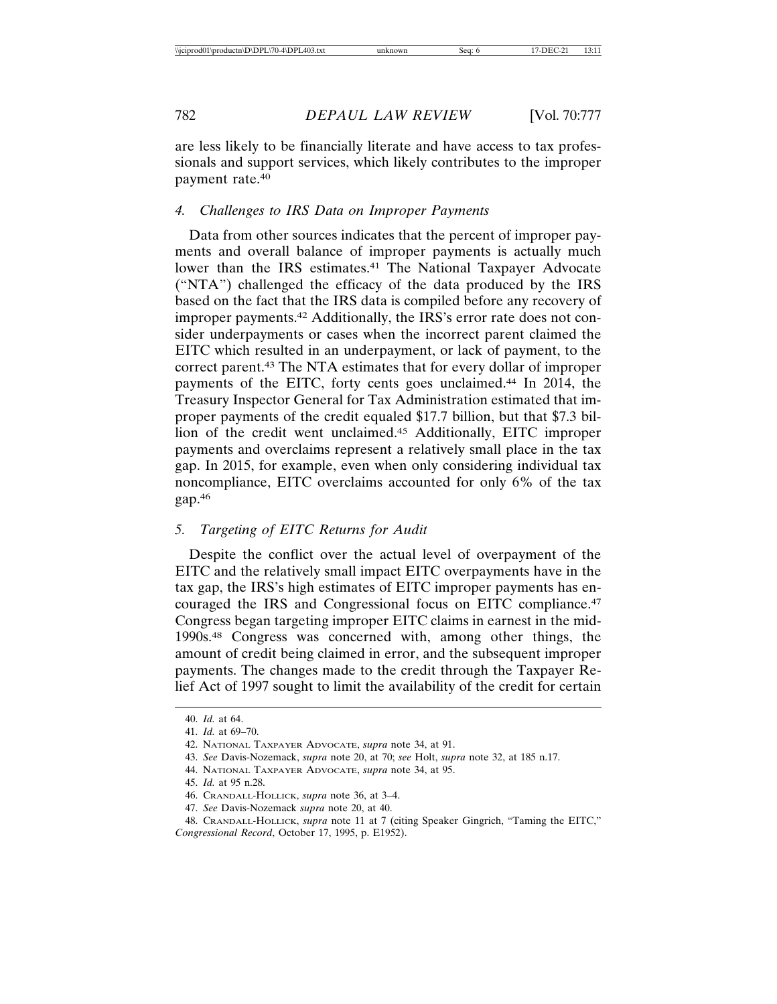are less likely to be financially literate and have access to tax professionals and support services, which likely contributes to the improper payment rate.40

#### *4. Challenges to IRS Data on Improper Payments*

Data from other sources indicates that the percent of improper payments and overall balance of improper payments is actually much lower than the IRS estimates.<sup>41</sup> The National Taxpayer Advocate ("NTA") challenged the efficacy of the data produced by the IRS based on the fact that the IRS data is compiled before any recovery of improper payments.42 Additionally, the IRS's error rate does not consider underpayments or cases when the incorrect parent claimed the EITC which resulted in an underpayment, or lack of payment, to the correct parent.43 The NTA estimates that for every dollar of improper payments of the EITC, forty cents goes unclaimed.44 In 2014, the Treasury Inspector General for Tax Administration estimated that improper payments of the credit equaled \$17.7 billion, but that \$7.3 billion of the credit went unclaimed.45 Additionally, EITC improper payments and overclaims represent a relatively small place in the tax gap. In 2015, for example, even when only considering individual tax noncompliance, EITC overclaims accounted for only 6% of the tax gap.46

#### *5. Targeting of EITC Returns for Audit*

Despite the conflict over the actual level of overpayment of the EITC and the relatively small impact EITC overpayments have in the tax gap, the IRS's high estimates of EITC improper payments has encouraged the IRS and Congressional focus on EITC compliance.47 Congress began targeting improper EITC claims in earnest in the mid-1990s.48 Congress was concerned with, among other things, the amount of credit being claimed in error, and the subsequent improper payments. The changes made to the credit through the Taxpayer Relief Act of 1997 sought to limit the availability of the credit for certain

<sup>40.</sup> *Id.* at 64.

<sup>41.</sup> *Id.* at 69–70.

<sup>42.</sup> NATIONAL TAXPAYER ADVOCATE, *supra* note 34, at 91.

<sup>43.</sup> *See* Davis-Nozemack, *supra* note 20, at 70; *see* Holt, *supra* note 32, at 185 n.17.

<sup>44.</sup> NATIONAL TAXPAYER ADVOCATE, *supra* note 34, at 95.

<sup>45.</sup> *Id.* at 95 n.28.

<sup>46.</sup> CRANDALL-HOLLICK, *supra* note 36, at 3–4.

<sup>47.</sup> *See* Davis-Nozemack *supra* note 20, at 40.

<sup>48.</sup> CRANDALL-HOLLICK, *supra* note 11 at 7 (citing Speaker Gingrich, "Taming the EITC," *Congressional Record*, October 17, 1995, p. E1952).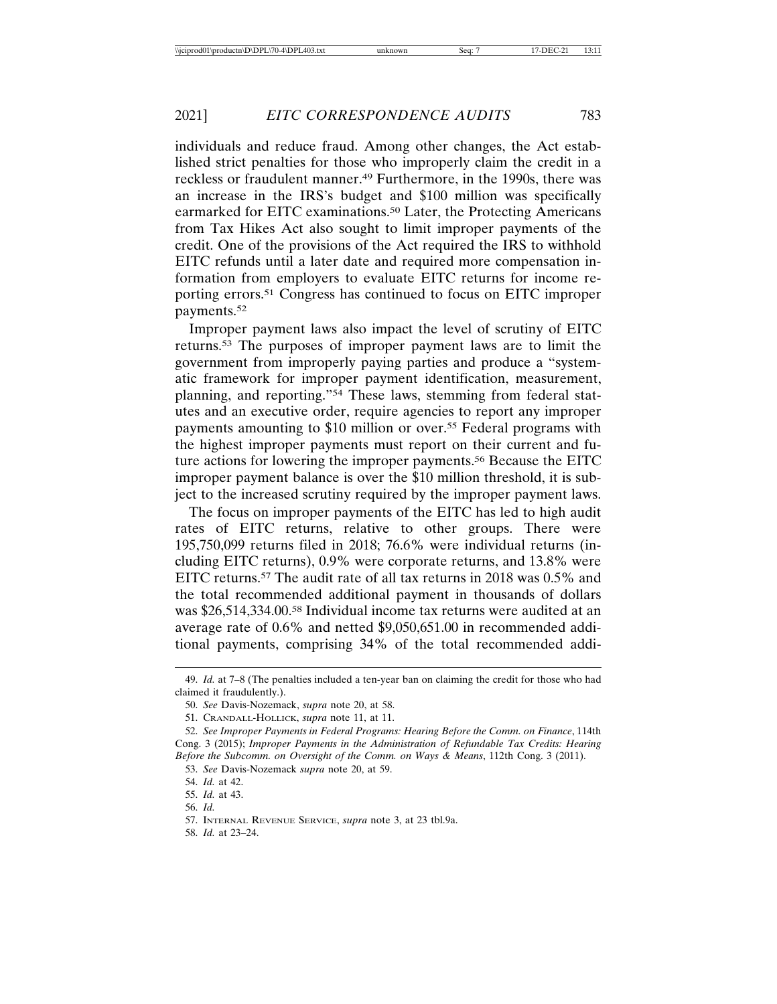individuals and reduce fraud. Among other changes, the Act established strict penalties for those who improperly claim the credit in a reckless or fraudulent manner.49 Furthermore, in the 1990s, there was an increase in the IRS's budget and \$100 million was specifically earmarked for EITC examinations.<sup>50</sup> Later, the Protecting Americans from Tax Hikes Act also sought to limit improper payments of the credit. One of the provisions of the Act required the IRS to withhold EITC refunds until a later date and required more compensation information from employers to evaluate EITC returns for income reporting errors.51 Congress has continued to focus on EITC improper payments.52

Improper payment laws also impact the level of scrutiny of EITC returns.53 The purposes of improper payment laws are to limit the government from improperly paying parties and produce a "systematic framework for improper payment identification, measurement, planning, and reporting."54 These laws, stemming from federal statutes and an executive order, require agencies to report any improper payments amounting to \$10 million or over.55 Federal programs with the highest improper payments must report on their current and future actions for lowering the improper payments.<sup>56</sup> Because the EITC improper payment balance is over the \$10 million threshold, it is subject to the increased scrutiny required by the improper payment laws.

The focus on improper payments of the EITC has led to high audit rates of EITC returns, relative to other groups. There were 195,750,099 returns filed in 2018; 76.6% were individual returns (including EITC returns), 0.9% were corporate returns, and 13.8% were EITC returns.57 The audit rate of all tax returns in 2018 was 0.5% and the total recommended additional payment in thousands of dollars was \$26,514,334.00.58 Individual income tax returns were audited at an average rate of 0.6% and netted \$9,050,651.00 in recommended additional payments, comprising 34% of the total recommended addi-

<sup>49.</sup> *Id.* at 7–8 (The penalties included a ten-year ban on claiming the credit for those who had claimed it fraudulently.).

<sup>50.</sup> *See* Davis-Nozemack, *supra* note 20, at 58.

<sup>51.</sup> CRANDALL-HOLLICK, *supra* note 11, at 11.

<sup>52.</sup> *See Improper Payments in Federal Programs: Hearing Before the Comm. on Finance*, 114th Cong. 3 (2015); *Improper Payments in the Administration of Refundable Tax Credits: Hearing Before the Subcomm. on Oversight of the Comm. on Ways & Means*, 112th Cong. 3 (2011).

<sup>53.</sup> *See* Davis-Nozemack *supra* note 20, at 59.

<sup>54.</sup> *Id.* at 42.

<sup>55.</sup> *Id.* at 43.

<sup>56.</sup> *Id.*

<sup>57.</sup> INTERNAL REVENUE SERVICE, *supra* note 3, at 23 tbl.9a.

<sup>58.</sup> *Id.* at 23–24.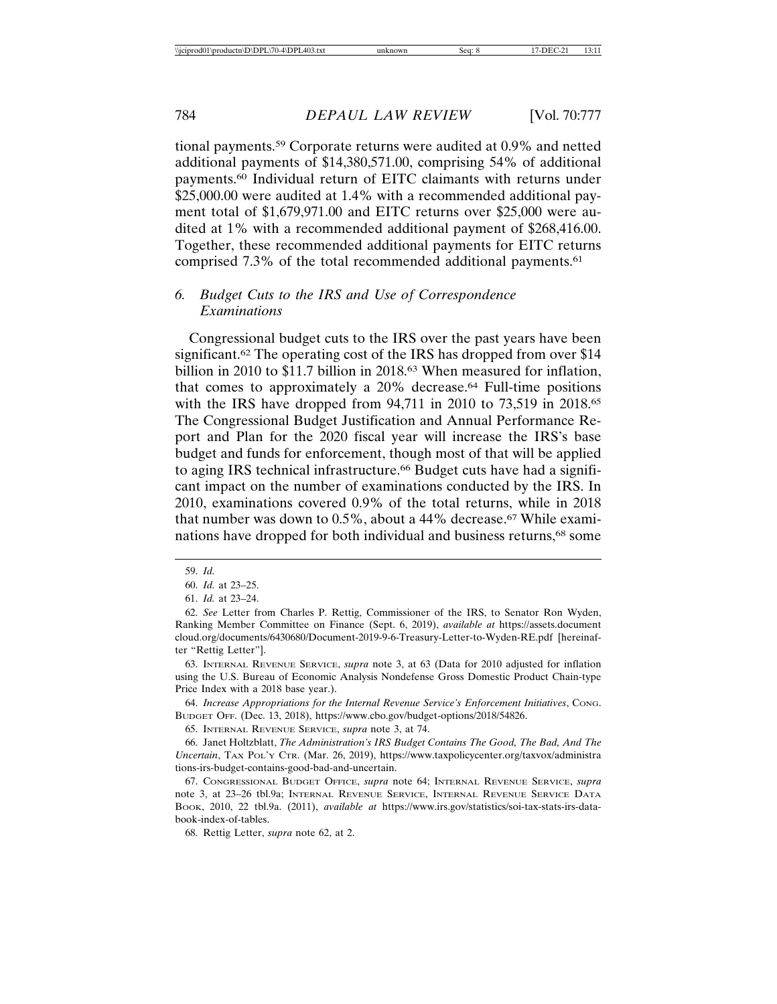tional payments.59 Corporate returns were audited at 0.9% and netted additional payments of \$14,380,571.00, comprising 54% of additional payments.60 Individual return of EITC claimants with returns under \$25,000.00 were audited at 1.4% with a recommended additional payment total of \$1,679,971.00 and EITC returns over \$25,000 were audited at 1% with a recommended additional payment of \$268,416.00. Together, these recommended additional payments for EITC returns comprised 7.3% of the total recommended additional payments.61

## *6. Budget Cuts to the IRS and Use of Correspondence Examinations*

Congressional budget cuts to the IRS over the past years have been significant.<sup>62</sup> The operating cost of the IRS has dropped from over \$14 billion in 2010 to \$11.7 billion in 2018.<sup>63</sup> When measured for inflation, that comes to approximately a 20% decrease.64 Full-time positions with the IRS have dropped from 94,711 in 2010 to 73,519 in 2018.65 The Congressional Budget Justification and Annual Performance Report and Plan for the 2020 fiscal year will increase the IRS's base budget and funds for enforcement, though most of that will be applied to aging IRS technical infrastructure.<sup>66</sup> Budget cuts have had a significant impact on the number of examinations conducted by the IRS. In 2010, examinations covered 0.9% of the total returns, while in 2018 that number was down to  $0.5\%$ , about a 44% decrease.<sup>67</sup> While examinations have dropped for both individual and business returns,68 some

63. INTERNAL REVENUE SERVICE, *supra* note 3, at 63 (Data for 2010 adjusted for inflation using the U.S. Bureau of Economic Analysis Nondefense Gross Domestic Product Chain-type Price Index with a 2018 base year.).

64. *Increase Appropriations for the Internal Revenue Service's Enforcement Initiatives*, CONG. BUDGET OFF. (Dec. 13, 2018), https://www.cbo.gov/budget-options/2018/54826.

65. INTERNAL REVENUE SERVICE, *supra* note 3, at 74.

66. Janet Holtzblatt, *The Administration's IRS Budget Contains The Good, The Bad, And The Uncertain*, TAX POL'Y CTR. (Mar. 26, 2019), https://www.taxpolicycenter.org/taxvox/administra tions-irs-budget-contains-good-bad-and-uncertain.

67. CONGRESSIONAL BUDGET OFFICE, *supra* note 64; INTERNAL REVENUE SERVICE, *supra* note 3, at 23–26 tbl.9a; INTERNAL REVENUE SERVICE, INTERNAL REVENUE SERVICE DATA BOOK, 2010, 22 tbl.9a. (2011), *available at* https://www.irs.gov/statistics/soi-tax-stats-irs-databook-index-of-tables.

68. Rettig Letter, *supra* note 62, at 2.

<sup>59.</sup> *Id.*

<sup>60.</sup> *Id.* at 23–25.

<sup>61.</sup> *Id.* at 23–24.

<sup>62.</sup> *See* Letter from Charles P. Rettig, Commissioner of the IRS, to Senator Ron Wyden, Ranking Member Committee on Finance (Sept. 6, 2019), *available at* https://assets.document cloud.org/documents/6430680/Document-2019-9-6-Treasury-Letter-to-Wyden-RE.pdf [hereinafter "Rettig Letter"].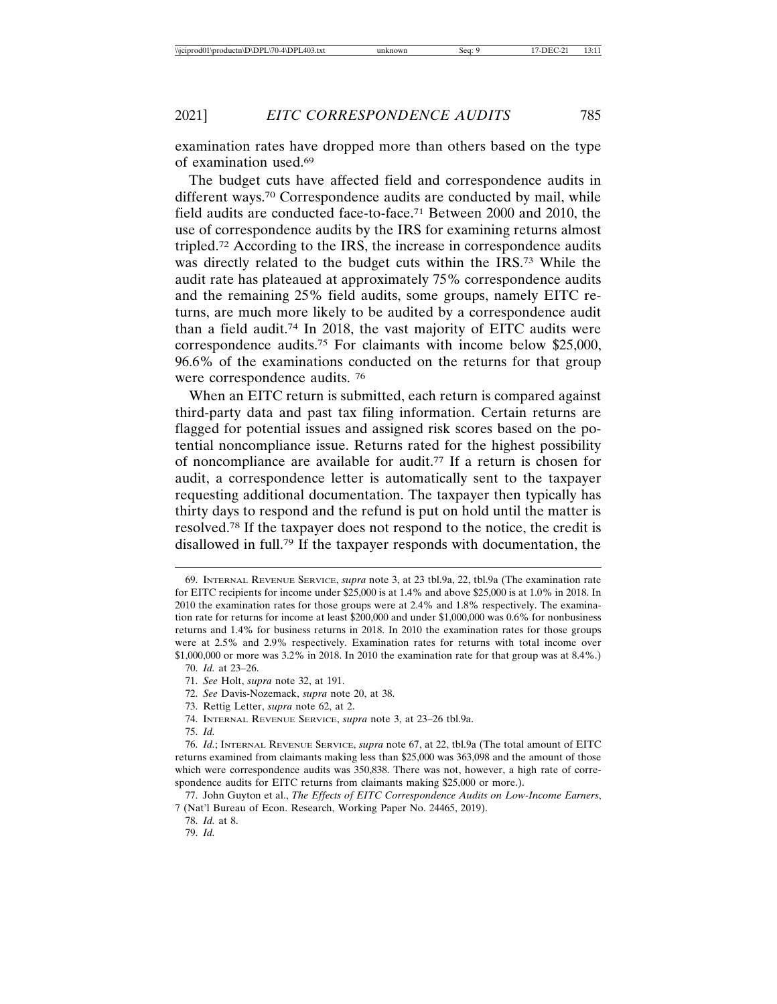examination rates have dropped more than others based on the type of examination used.69

The budget cuts have affected field and correspondence audits in different ways.<sup>70</sup> Correspondence audits are conducted by mail, while field audits are conducted face-to-face.71 Between 2000 and 2010, the use of correspondence audits by the IRS for examining returns almost tripled.72 According to the IRS, the increase in correspondence audits was directly related to the budget cuts within the IRS.73 While the audit rate has plateaued at approximately 75% correspondence audits and the remaining 25% field audits, some groups, namely EITC returns, are much more likely to be audited by a correspondence audit than a field audit.74 In 2018, the vast majority of EITC audits were correspondence audits.75 For claimants with income below \$25,000, 96.6% of the examinations conducted on the returns for that group were correspondence audits. 76

When an EITC return is submitted, each return is compared against third-party data and past tax filing information. Certain returns are flagged for potential issues and assigned risk scores based on the potential noncompliance issue. Returns rated for the highest possibility of noncompliance are available for audit.77 If a return is chosen for audit, a correspondence letter is automatically sent to the taxpayer requesting additional documentation. The taxpayer then typically has thirty days to respond and the refund is put on hold until the matter is resolved.78 If the taxpayer does not respond to the notice, the credit is disallowed in full.79 If the taxpayer responds with documentation, the

- 72. *See* Davis-Nozemack, *supra* note 20, at 38.
- 73. Rettig Letter, *supra* note 62, at 2.
- 74. INTERNAL REVENUE SERVICE, *supra* note 3, at 23–26 tbl.9a.
- 75. *Id.*

<sup>69.</sup> INTERNAL REVENUE SERVICE, *supra* note 3, at 23 tbl.9a, 22, tbl.9a (The examination rate for EITC recipients for income under \$25,000 is at 1.4% and above \$25,000 is at 1.0% in 2018. In 2010 the examination rates for those groups were at 2.4% and 1.8% respectively. The examination rate for returns for income at least \$200,000 and under \$1,000,000 was 0.6% for nonbusiness returns and 1.4% for business returns in 2018. In 2010 the examination rates for those groups were at 2.5% and 2.9% respectively. Examination rates for returns with total income over \$1,000,000 or more was 3.2% in 2018. In 2010 the examination rate for that group was at 8.4%.)

<sup>70.</sup> *Id.* at 23–26.

<sup>71.</sup> *See* Holt, *supra* note 32, at 191.

<sup>76.</sup> *Id.*; INTERNAL REVENUE SERVICE, *supra* note 67, at 22, tbl.9a (The total amount of EITC returns examined from claimants making less than \$25,000 was 363,098 and the amount of those which were correspondence audits was 350,838. There was not, however, a high rate of correspondence audits for EITC returns from claimants making \$25,000 or more.).

<sup>77.</sup> John Guyton et al., *The Effects of EITC Correspondence Audits on Low-Income Earners*, 7 (Nat'l Bureau of Econ. Research, Working Paper No. 24465, 2019).

<sup>78.</sup> *Id.* at 8.

<sup>79.</sup> *Id.*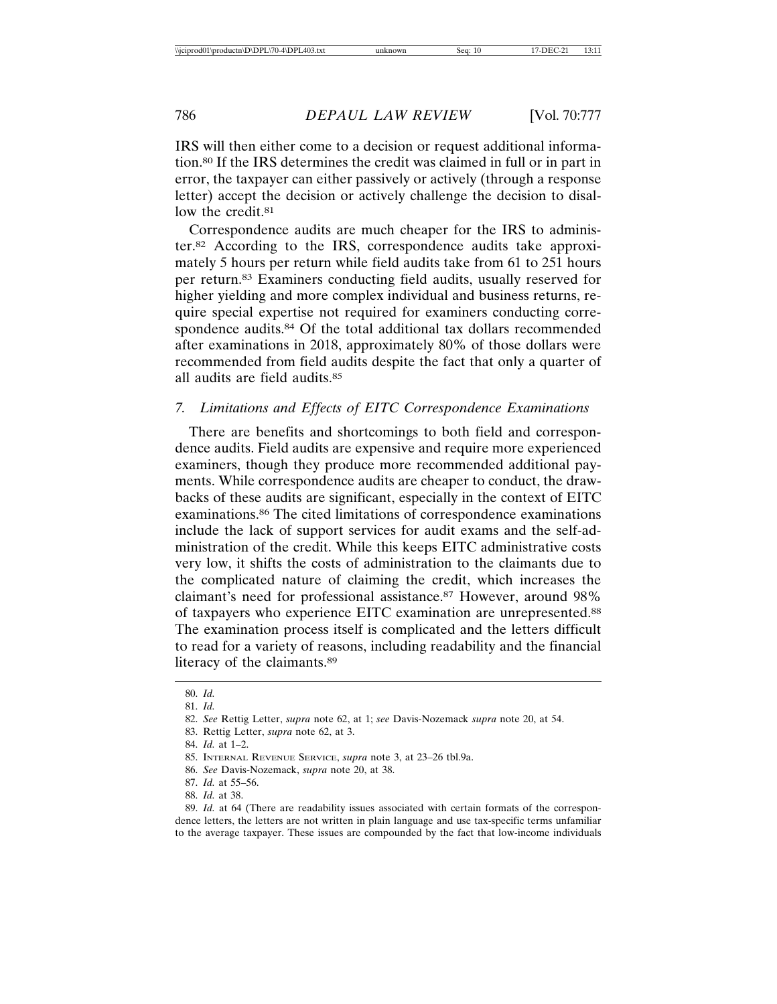IRS will then either come to a decision or request additional information.80 If the IRS determines the credit was claimed in full or in part in error, the taxpayer can either passively or actively (through a response letter) accept the decision or actively challenge the decision to disallow the credit.<sup>81</sup>

Correspondence audits are much cheaper for the IRS to administer.82 According to the IRS, correspondence audits take approximately 5 hours per return while field audits take from 61 to 251 hours per return.83 Examiners conducting field audits, usually reserved for higher yielding and more complex individual and business returns, require special expertise not required for examiners conducting correspondence audits.84 Of the total additional tax dollars recommended after examinations in 2018, approximately 80% of those dollars were recommended from field audits despite the fact that only a quarter of all audits are field audits.85

#### *7. Limitations and Effects of EITC Correspondence Examinations*

There are benefits and shortcomings to both field and correspondence audits. Field audits are expensive and require more experienced examiners, though they produce more recommended additional payments. While correspondence audits are cheaper to conduct, the drawbacks of these audits are significant, especially in the context of EITC examinations.86 The cited limitations of correspondence examinations include the lack of support services for audit exams and the self-administration of the credit. While this keeps EITC administrative costs very low, it shifts the costs of administration to the claimants due to the complicated nature of claiming the credit, which increases the claimant's need for professional assistance.87 However, around 98% of taxpayers who experience EITC examination are unrepresented.88 The examination process itself is complicated and the letters difficult to read for a variety of reasons, including readability and the financial literacy of the claimants.89

83. Rettig Letter, *supra* note 62, at 3.

- 86. *See* Davis-Nozemack, *supra* note 20, at 38.
- 87. *Id.* at 55–56.
- 88. *Id.* at 38.

89. *Id.* at 64 (There are readability issues associated with certain formats of the correspondence letters, the letters are not written in plain language and use tax-specific terms unfamiliar to the average taxpayer. These issues are compounded by the fact that low-income individuals

<sup>80.</sup> *Id.*

<sup>81.</sup> *Id.*

<sup>82.</sup> *See* Rettig Letter, *supra* note 62, at 1; *see* Davis-Nozemack *supra* note 20, at 54.

<sup>84.</sup> *Id.* at 1–2.

<sup>85.</sup> INTERNAL REVENUE SERVICE, *supra* note 3, at 23–26 tbl.9a.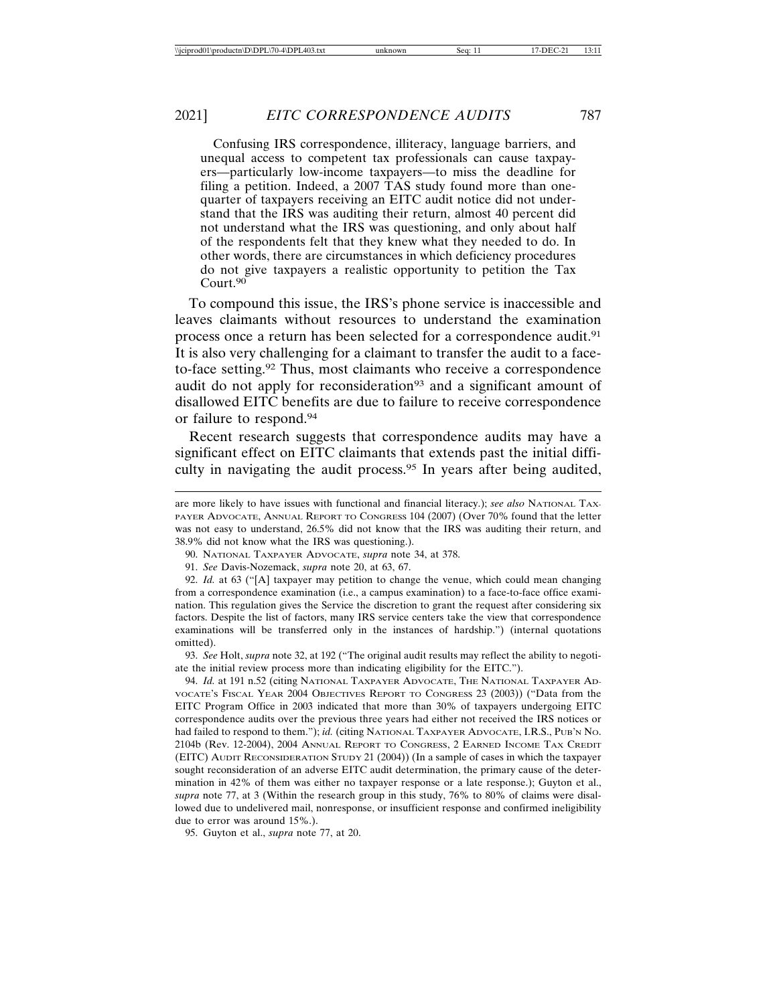Confusing IRS correspondence, illiteracy, language barriers, and unequal access to competent tax professionals can cause taxpayers—particularly low-income taxpayers—to miss the deadline for filing a petition. Indeed, a 2007 TAS study found more than onequarter of taxpayers receiving an EITC audit notice did not understand that the IRS was auditing their return, almost 40 percent did not understand what the IRS was questioning, and only about half of the respondents felt that they knew what they needed to do. In other words, there are circumstances in which deficiency procedures do not give taxpayers a realistic opportunity to petition the Tax Court.<sup>90</sup>

To compound this issue, the IRS's phone service is inaccessible and leaves claimants without resources to understand the examination process once a return has been selected for a correspondence audit.91 It is also very challenging for a claimant to transfer the audit to a faceto-face setting.92 Thus, most claimants who receive a correspondence audit do not apply for reconsideration<sup>93</sup> and a significant amount of disallowed EITC benefits are due to failure to receive correspondence or failure to respond.94

Recent research suggests that correspondence audits may have a significant effect on EITC claimants that extends past the initial difficulty in navigating the audit process.95 In years after being audited,

93. *See* Holt, *supra* note 32, at 192 ("The original audit results may reflect the ability to negotiate the initial review process more than indicating eligibility for the EITC.").

94. *Id.* at 191 n.52 (citing NATIONAL TAXPAYER ADVOCATE, THE NATIONAL TAXPAYER AD-VOCATE'S FISCAL YEAR 2004 OBJECTIVES REPORT TO CONGRESS 23 (2003)) ("Data from the EITC Program Office in 2003 indicated that more than 30% of taxpayers undergoing EITC correspondence audits over the previous three years had either not received the IRS notices or had failed to respond to them."); *id.* (citing NATIONAL TAXPAYER ADVOCATE, I.R.S., PUB'N NO. 2104b (Rev. 12-2004), 2004 ANNUAL REPORT TO CONGRESS, 2 EARNED INCOME TAX CREDIT (EITC) AUDIT RECONSIDERATION STUDY 21 (2004)) (In a sample of cases in which the taxpayer sought reconsideration of an adverse EITC audit determination, the primary cause of the determination in 42% of them was either no taxpayer response or a late response.); Guyton et al., *supra* note 77, at 3 (Within the research group in this study, 76% to 80% of claims were disallowed due to undelivered mail, nonresponse, or insufficient response and confirmed ineligibility due to error was around 15%.).

95. Guyton et al., *supra* note 77, at 20.

are more likely to have issues with functional and financial literacy.); *see also* NATIONAL TAX-PAYER ADVOCATE, ANNUAL REPORT TO CONGRESS 104 (2007) (Over 70% found that the letter was not easy to understand, 26.5% did not know that the IRS was auditing their return, and 38.9% did not know what the IRS was questioning.).

<sup>90.</sup> NATIONAL TAXPAYER ADVOCATE, *supra* note 34, at 378.

<sup>91.</sup> *See* Davis-Nozemack, *supra* note 20, at 63, 67.

<sup>92.</sup> *Id.* at 63 ("[A] taxpayer may petition to change the venue, which could mean changing from a correspondence examination (i.e., a campus examination) to a face-to-face office examination. This regulation gives the Service the discretion to grant the request after considering six factors. Despite the list of factors, many IRS service centers take the view that correspondence examinations will be transferred only in the instances of hardship.") (internal quotations omitted).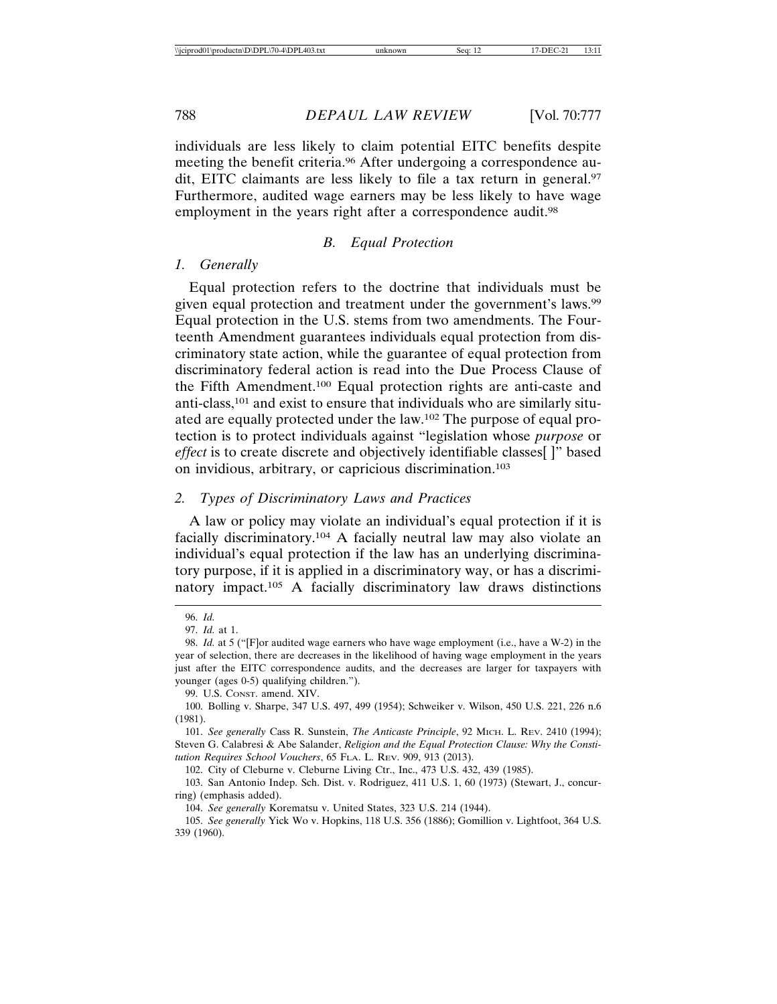individuals are less likely to claim potential EITC benefits despite meeting the benefit criteria.96 After undergoing a correspondence audit, EITC claimants are less likely to file a tax return in general.97 Furthermore, audited wage earners may be less likely to have wage employment in the years right after a correspondence audit.<sup>98</sup>

#### *B. Equal Protection*

#### *1. Generally*

Equal protection refers to the doctrine that individuals must be given equal protection and treatment under the government's laws.<sup>99</sup> Equal protection in the U.S. stems from two amendments. The Fourteenth Amendment guarantees individuals equal protection from discriminatory state action, while the guarantee of equal protection from discriminatory federal action is read into the Due Process Clause of the Fifth Amendment.100 Equal protection rights are anti-caste and anti-class,101 and exist to ensure that individuals who are similarly situated are equally protected under the law.102 The purpose of equal protection is to protect individuals against "legislation whose *purpose* or *effect* is to create discrete and objectively identifiable classes[ ]" based on invidious, arbitrary, or capricious discrimination.103

#### *2. Types of Discriminatory Laws and Practices*

A law or policy may violate an individual's equal protection if it is facially discriminatory.104 A facially neutral law may also violate an individual's equal protection if the law has an underlying discriminatory purpose, if it is applied in a discriminatory way, or has a discriminatory impact.105 A facially discriminatory law draws distinctions

99. U.S. CONST. amend. XIV.

102. City of Cleburne v. Cleburne Living Ctr., Inc., 473 U.S. 432, 439 (1985).

103. San Antonio Indep. Sch. Dist. v. Rodriguez, 411 U.S. 1, 60 (1973) (Stewart, J., concurring) (emphasis added).

104. *See generally* Korematsu v. United States, 323 U.S. 214 (1944).

<sup>96.</sup> *Id.*

<sup>97.</sup> *Id.* at 1.

<sup>98.</sup> *Id.* at 5 ("[F]or audited wage earners who have wage employment (i.e., have a W-2) in the year of selection, there are decreases in the likelihood of having wage employment in the years just after the EITC correspondence audits, and the decreases are larger for taxpayers with younger (ages 0-5) qualifying children.").

<sup>100.</sup> Bolling v. Sharpe, 347 U.S. 497, 499 (1954); Schweiker v. Wilson, 450 U.S. 221, 226 n.6 (1981).

<sup>101.</sup> *See generally* Cass R. Sunstein, *The Anticaste Principle*, 92 MICH. L. REV. 2410 (1994); Steven G. Calabresi & Abe Salander, *Religion and the Equal Protection Clause: Why the Constitution Requires School Vouchers*, 65 FLA. L. REV. 909, 913 (2013).

<sup>105.</sup> *See generally* Yick Wo v. Hopkins, 118 U.S. 356 (1886); Gomillion v. Lightfoot, 364 U.S. 339 (1960).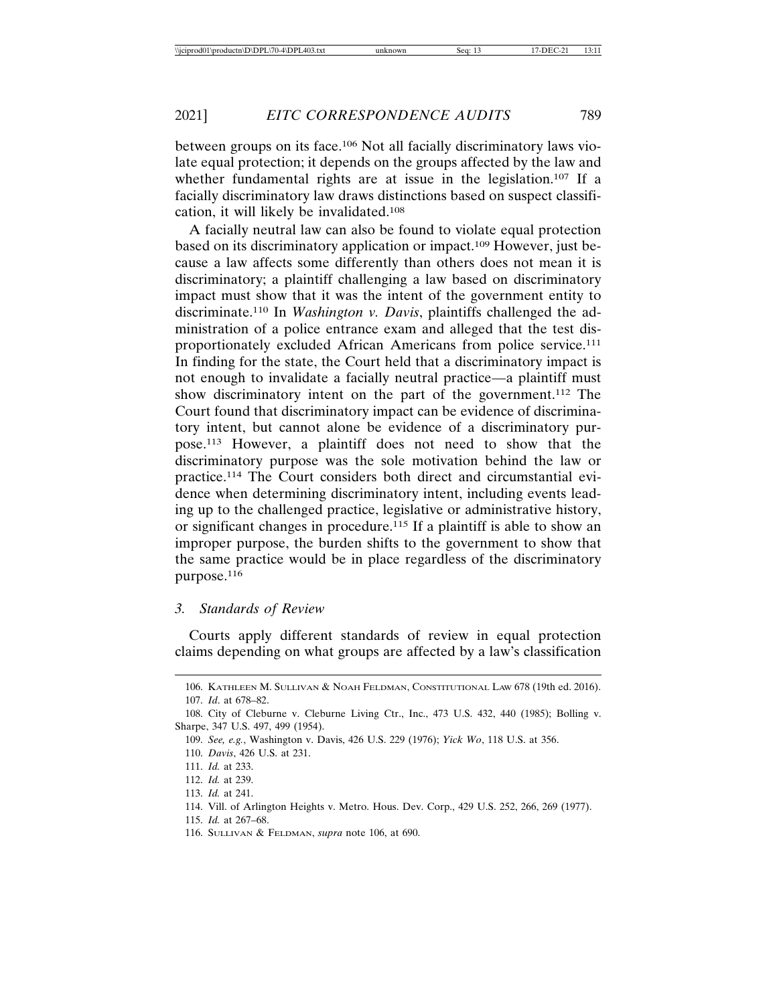between groups on its face.106 Not all facially discriminatory laws violate equal protection; it depends on the groups affected by the law and whether fundamental rights are at issue in the legislation.<sup>107</sup> If a facially discriminatory law draws distinctions based on suspect classification, it will likely be invalidated.108

A facially neutral law can also be found to violate equal protection based on its discriminatory application or impact.109 However, just because a law affects some differently than others does not mean it is discriminatory; a plaintiff challenging a law based on discriminatory impact must show that it was the intent of the government entity to discriminate.110 In *Washington v. Davis*, plaintiffs challenged the administration of a police entrance exam and alleged that the test disproportionately excluded African Americans from police service.111 In finding for the state, the Court held that a discriminatory impact is not enough to invalidate a facially neutral practice—a plaintiff must show discriminatory intent on the part of the government.112 The Court found that discriminatory impact can be evidence of discriminatory intent, but cannot alone be evidence of a discriminatory purpose.113 However, a plaintiff does not need to show that the discriminatory purpose was the sole motivation behind the law or practice.114 The Court considers both direct and circumstantial evidence when determining discriminatory intent, including events leading up to the challenged practice, legislative or administrative history, or significant changes in procedure.115 If a plaintiff is able to show an improper purpose, the burden shifts to the government to show that the same practice would be in place regardless of the discriminatory purpose.116

#### *3. Standards of Review*

Courts apply different standards of review in equal protection claims depending on what groups are affected by a law's classification

<sup>106.</sup> KATHLEEN M. SULLIVAN & NOAH FELDMAN, CONSTITUTIONAL LAW 678 (19th ed. 2016). 107. *Id*. at 678–82.

<sup>108.</sup> City of Cleburne v. Cleburne Living Ctr., Inc., 473 U.S. 432, 440 (1985); Bolling v. Sharpe, 347 U.S. 497, 499 (1954).

<sup>109.</sup> *See, e.g.*, Washington v. Davis, 426 U.S. 229 (1976); *Yick Wo*, 118 U.S. at 356.

<sup>110.</sup> *Davis*, 426 U.S. at 231.

<sup>111.</sup> *Id.* at 233.

<sup>112.</sup> *Id.* at 239.

<sup>113.</sup> *Id.* at 241.

<sup>114.</sup> Vill. of Arlington Heights v. Metro. Hous. Dev. Corp., 429 U.S. 252, 266, 269 (1977).

<sup>115.</sup> *Id.* at 267–68.

<sup>116.</sup> SULLIVAN & FELDMAN, *supra* note 106, at 690.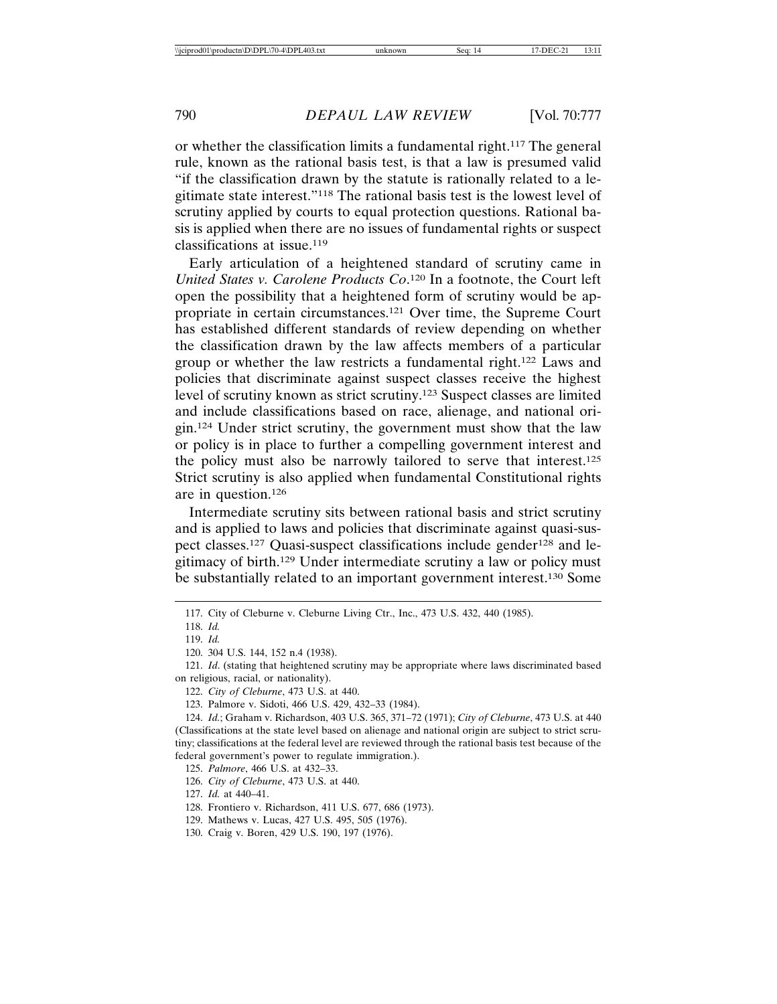or whether the classification limits a fundamental right.117 The general rule, known as the rational basis test, is that a law is presumed valid "if the classification drawn by the statute is rationally related to a legitimate state interest."118 The rational basis test is the lowest level of scrutiny applied by courts to equal protection questions. Rational basis is applied when there are no issues of fundamental rights or suspect classifications at issue.119

Early articulation of a heightened standard of scrutiny came in *United States v. Carolene Products Co*. 120 In a footnote, the Court left open the possibility that a heightened form of scrutiny would be appropriate in certain circumstances.121 Over time, the Supreme Court has established different standards of review depending on whether the classification drawn by the law affects members of a particular group or whether the law restricts a fundamental right.122 Laws and policies that discriminate against suspect classes receive the highest level of scrutiny known as strict scrutiny.123 Suspect classes are limited and include classifications based on race, alienage, and national origin.124 Under strict scrutiny, the government must show that the law or policy is in place to further a compelling government interest and the policy must also be narrowly tailored to serve that interest.125 Strict scrutiny is also applied when fundamental Constitutional rights are in question.126

Intermediate scrutiny sits between rational basis and strict scrutiny and is applied to laws and policies that discriminate against quasi-suspect classes.<sup>127</sup> Quasi-suspect classifications include gender<sup>128</sup> and legitimacy of birth.129 Under intermediate scrutiny a law or policy must be substantially related to an important government interest.130 Some

<sup>117.</sup> City of Cleburne v. Cleburne Living Ctr., Inc., 473 U.S. 432, 440 (1985).

<sup>118.</sup> *Id.*

<sup>119.</sup> *Id.*

<sup>120. 304</sup> U.S. 144, 152 n.4 (1938).

<sup>121.</sup> *Id*. (stating that heightened scrutiny may be appropriate where laws discriminated based on religious, racial, or nationality).

<sup>122.</sup> *City of Cleburne*, 473 U.S. at 440.

<sup>123.</sup> Palmore v. Sidoti, 466 U.S. 429, 432–33 (1984).

<sup>124.</sup> *Id.*; Graham v. Richardson, 403 U.S. 365, 371–72 (1971); *City of Cleburne*, 473 U.S. at 440 (Classifications at the state level based on alienage and national origin are subject to strict scrutiny; classifications at the federal level are reviewed through the rational basis test because of the federal government's power to regulate immigration.).

<sup>125.</sup> *Palmore*, 466 U.S. at 432–33.

<sup>126.</sup> *City of Cleburne*, 473 U.S. at 440.

<sup>127.</sup> *Id.* at 440–41.

<sup>128.</sup> Frontiero v. Richardson, 411 U.S. 677, 686 (1973).

<sup>129.</sup> Mathews v. Lucas, 427 U.S. 495, 505 (1976).

<sup>130.</sup> Craig v. Boren, 429 U.S. 190, 197 (1976).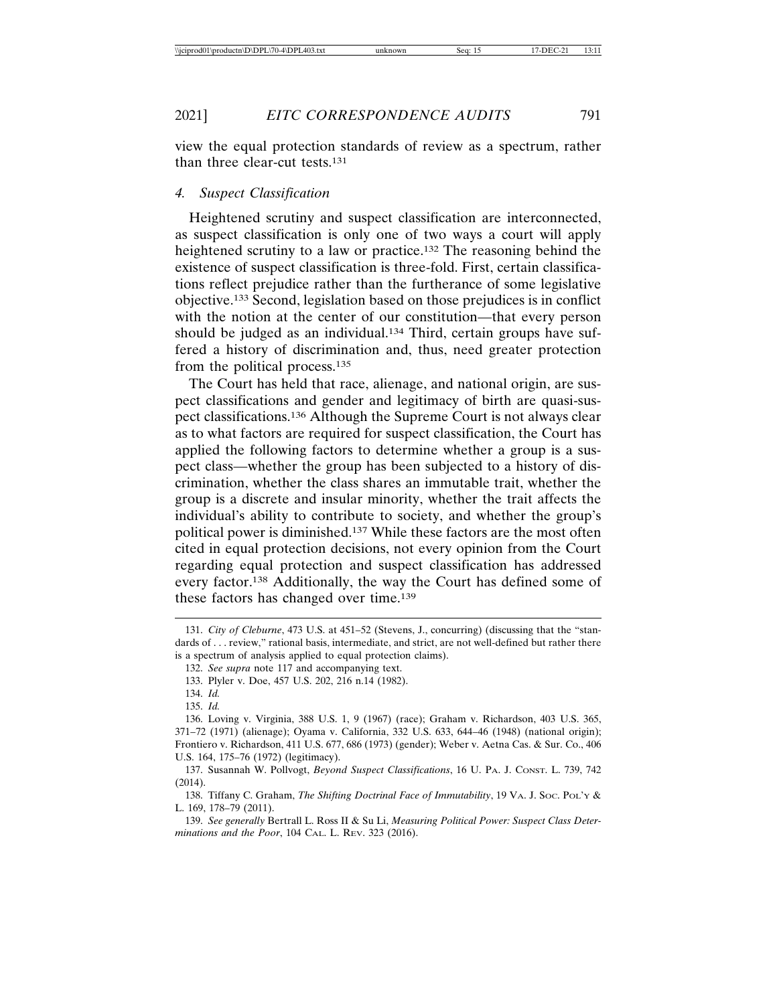view the equal protection standards of review as a spectrum, rather than three clear-cut tests.131

#### *4. Suspect Classification*

Heightened scrutiny and suspect classification are interconnected, as suspect classification is only one of two ways a court will apply heightened scrutiny to a law or practice.132 The reasoning behind the existence of suspect classification is three-fold. First, certain classifications reflect prejudice rather than the furtherance of some legislative objective.133 Second, legislation based on those prejudices is in conflict with the notion at the center of our constitution—that every person should be judged as an individual.<sup>134</sup> Third, certain groups have suffered a history of discrimination and, thus, need greater protection from the political process.135

The Court has held that race, alienage, and national origin, are suspect classifications and gender and legitimacy of birth are quasi-suspect classifications.136 Although the Supreme Court is not always clear as to what factors are required for suspect classification, the Court has applied the following factors to determine whether a group is a suspect class—whether the group has been subjected to a history of discrimination, whether the class shares an immutable trait, whether the group is a discrete and insular minority, whether the trait affects the individual's ability to contribute to society, and whether the group's political power is diminished.137 While these factors are the most often cited in equal protection decisions, not every opinion from the Court regarding equal protection and suspect classification has addressed every factor.138 Additionally, the way the Court has defined some of these factors has changed over time.139

<sup>131.</sup> *City of Cleburne*, 473 U.S. at 451–52 (Stevens, J., concurring) (discussing that the "standards of . . . review," rational basis, intermediate, and strict, are not well-defined but rather there is a spectrum of analysis applied to equal protection claims).

<sup>132.</sup> *See supra* note 117 and accompanying text.

<sup>133.</sup> Plyler v. Doe, 457 U.S. 202, 216 n.14 (1982).

<sup>134.</sup> *Id.* 135. *Id.*

<sup>136.</sup> Loving v. Virginia, 388 U.S. 1, 9 (1967) (race); Graham v. Richardson, 403 U.S. 365, 371–72 (1971) (alienage); Oyama v. California, 332 U.S. 633, 644–46 (1948) (national origin); Frontiero v. Richardson, 411 U.S. 677, 686 (1973) (gender); Weber v. Aetna Cas. & Sur. Co., 406 U.S. 164, 175–76 (1972) (legitimacy).

<sup>137.</sup> Susannah W. Pollvogt, *Beyond Suspect Classifications*, 16 U. PA. J. CONST. L. 739, 742 (2014).

<sup>138.</sup> Tiffany C. Graham, *The Shifting Doctrinal Face of Immutability*, 19 VA. J. SOC. POL'Y & L. 169, 178–79 (2011).

<sup>139.</sup> *See generally* Bertrall L. Ross II & Su Li, *Measuring Political Power: Suspect Class Determinations and the Poor*, 104 CAL. L. REV. 323 (2016).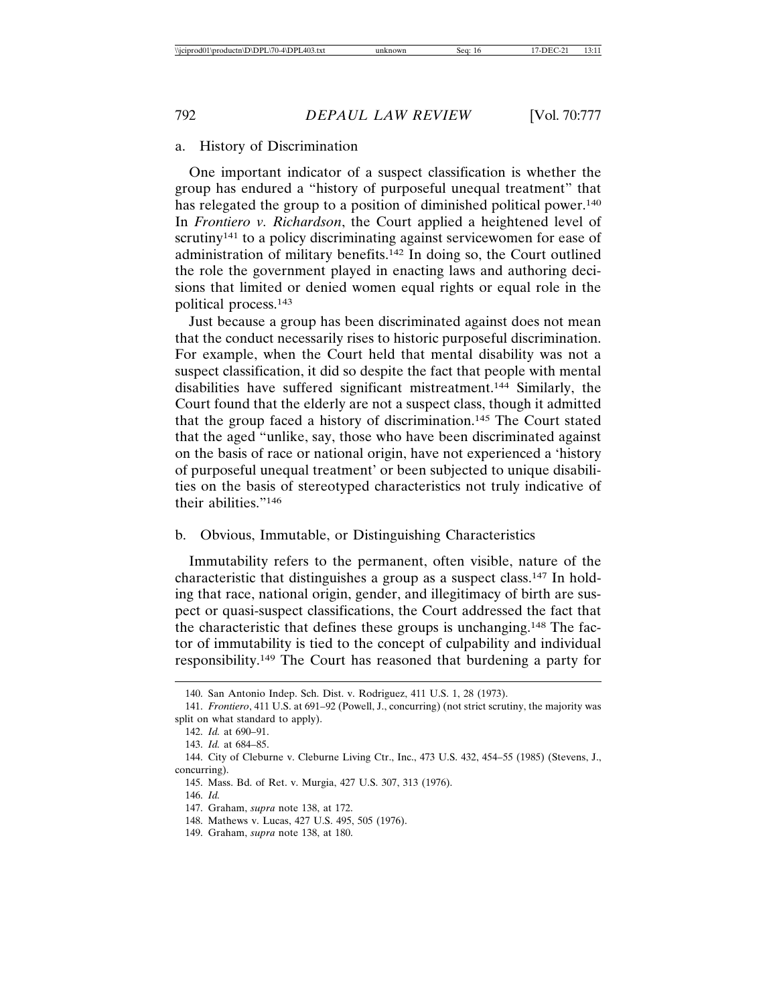#### a. History of Discrimination

One important indicator of a suspect classification is whether the group has endured a "history of purposeful unequal treatment" that has relegated the group to a position of diminished political power.<sup>140</sup> In *Frontiero v. Richardson*, the Court applied a heightened level of scrutiny<sup>141</sup> to a policy discriminating against servicewomen for ease of administration of military benefits.142 In doing so, the Court outlined the role the government played in enacting laws and authoring decisions that limited or denied women equal rights or equal role in the political process.143

Just because a group has been discriminated against does not mean that the conduct necessarily rises to historic purposeful discrimination. For example, when the Court held that mental disability was not a suspect classification, it did so despite the fact that people with mental disabilities have suffered significant mistreatment.144 Similarly, the Court found that the elderly are not a suspect class, though it admitted that the group faced a history of discrimination.145 The Court stated that the aged "unlike, say, those who have been discriminated against on the basis of race or national origin, have not experienced a 'history of purposeful unequal treatment' or been subjected to unique disabilities on the basis of stereotyped characteristics not truly indicative of their abilities."146

## b. Obvious, Immutable, or Distinguishing Characteristics

Immutability refers to the permanent, often visible, nature of the characteristic that distinguishes a group as a suspect class.147 In holding that race, national origin, gender, and illegitimacy of birth are suspect or quasi-suspect classifications, the Court addressed the fact that the characteristic that defines these groups is unchanging.148 The factor of immutability is tied to the concept of culpability and individual responsibility.149 The Court has reasoned that burdening a party for

<sup>140.</sup> San Antonio Indep. Sch. Dist. v. Rodriguez, 411 U.S. 1, 28 (1973).

<sup>141.</sup> *Frontiero*, 411 U.S. at 691–92 (Powell, J., concurring) (not strict scrutiny, the majority was split on what standard to apply).

<sup>142.</sup> *Id.* at 690–91.

<sup>143.</sup> *Id.* at 684–85.

<sup>144.</sup> City of Cleburne v. Cleburne Living Ctr., Inc., 473 U.S. 432, 454–55 (1985) (Stevens, J., concurring).

<sup>145.</sup> Mass. Bd. of Ret. v. Murgia, 427 U.S. 307, 313 (1976).

<sup>146.</sup> *Id.*

<sup>147.</sup> Graham, *supra* note 138, at 172.

<sup>148.</sup> Mathews v. Lucas, 427 U.S. 495, 505 (1976).

<sup>149.</sup> Graham, *supra* note 138, at 180.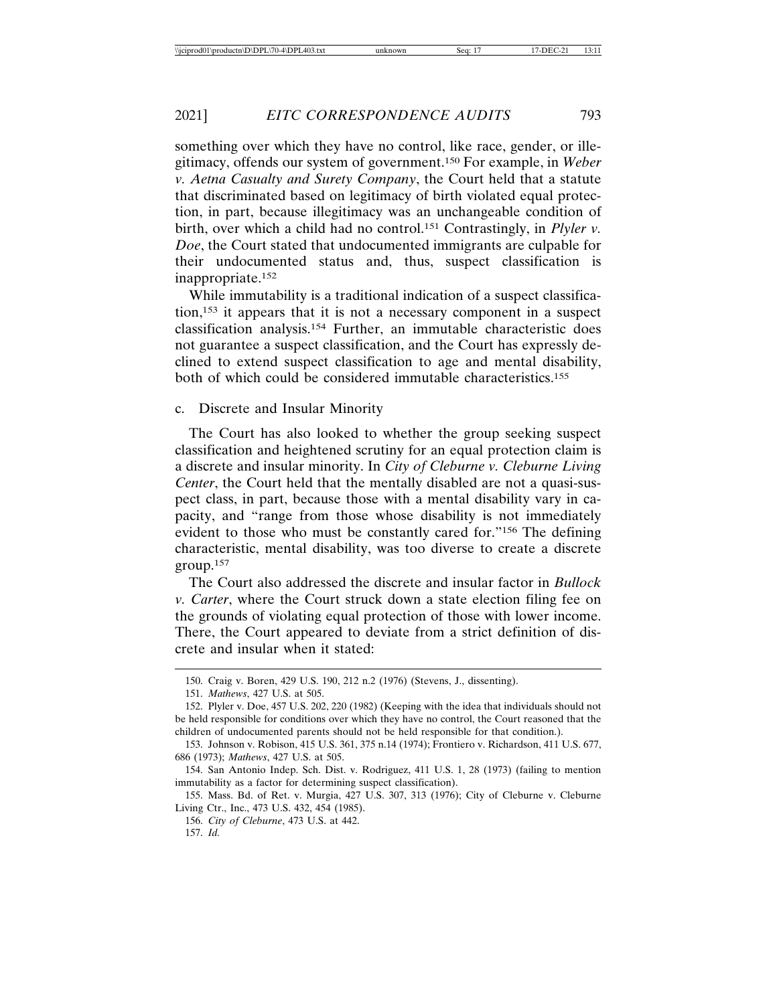something over which they have no control, like race, gender, or illegitimacy, offends our system of government.150 For example, in *Weber v. Aetna Casualty and Surety Company*, the Court held that a statute that discriminated based on legitimacy of birth violated equal protection, in part, because illegitimacy was an unchangeable condition of birth, over which a child had no control.151 Contrastingly, in *Plyler v. Doe*, the Court stated that undocumented immigrants are culpable for their undocumented status and, thus, suspect classification is inappropriate.152

While immutability is a traditional indication of a suspect classification,153 it appears that it is not a necessary component in a suspect classification analysis.154 Further, an immutable characteristic does not guarantee a suspect classification, and the Court has expressly declined to extend suspect classification to age and mental disability, both of which could be considered immutable characteristics.155

c. Discrete and Insular Minority

The Court has also looked to whether the group seeking suspect classification and heightened scrutiny for an equal protection claim is a discrete and insular minority. In *City of Cleburne v. Cleburne Living Center*, the Court held that the mentally disabled are not a quasi-suspect class, in part, because those with a mental disability vary in capacity, and "range from those whose disability is not immediately evident to those who must be constantly cared for."156 The defining characteristic, mental disability, was too diverse to create a discrete group.157

The Court also addressed the discrete and insular factor in *Bullock v. Carter*, where the Court struck down a state election filing fee on the grounds of violating equal protection of those with lower income. There, the Court appeared to deviate from a strict definition of discrete and insular when it stated:

<sup>150.</sup> Craig v. Boren, 429 U.S. 190, 212 n.2 (1976) (Stevens, J., dissenting).

<sup>151.</sup> *Mathews*, 427 U.S. at 505.

<sup>152.</sup> Plyler v. Doe, 457 U.S. 202, 220 (1982) (Keeping with the idea that individuals should not be held responsible for conditions over which they have no control, the Court reasoned that the children of undocumented parents should not be held responsible for that condition.).

<sup>153.</sup> Johnson v. Robison, 415 U.S. 361, 375 n.14 (1974); Frontiero v. Richardson, 411 U.S. 677, 686 (1973); *Mathews*, 427 U.S. at 505.

<sup>154.</sup> San Antonio Indep. Sch. Dist. v. Rodriguez, 411 U.S. 1, 28 (1973) (failing to mention immutability as a factor for determining suspect classification).

<sup>155.</sup> Mass. Bd. of Ret. v. Murgia, 427 U.S. 307, 313 (1976); City of Cleburne v. Cleburne Living Ctr., Inc., 473 U.S. 432, 454 (1985).

<sup>156.</sup> *City of Cleburne*, 473 U.S. at 442.

<sup>157.</sup> *Id.*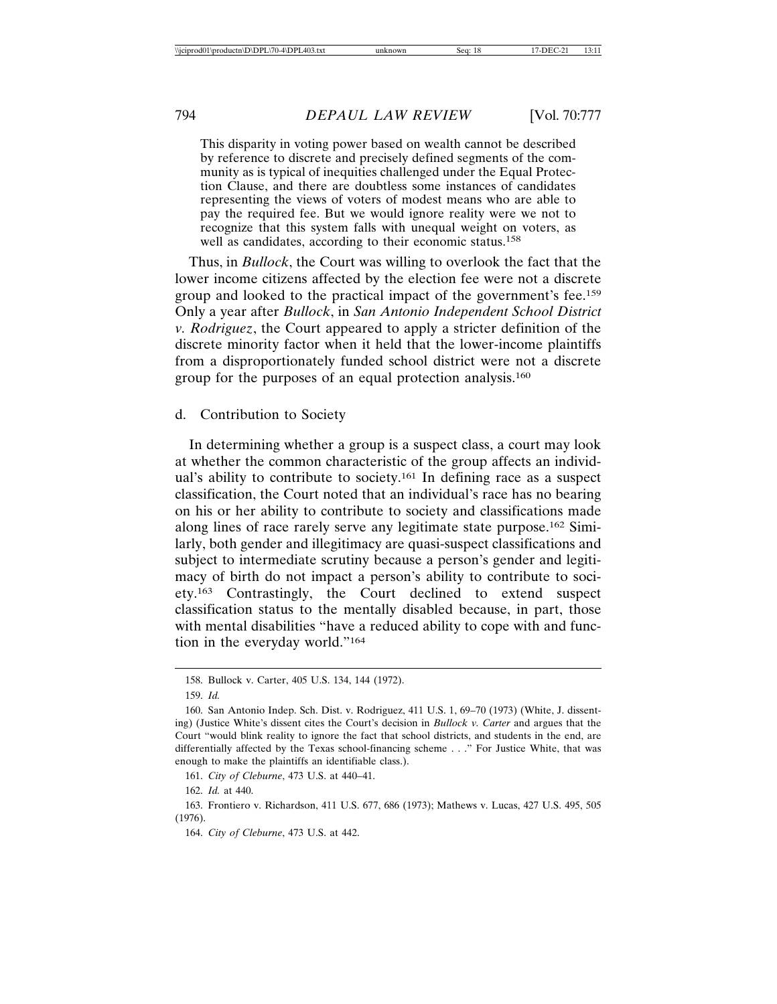This disparity in voting power based on wealth cannot be described by reference to discrete and precisely defined segments of the community as is typical of inequities challenged under the Equal Protection Clause, and there are doubtless some instances of candidates representing the views of voters of modest means who are able to pay the required fee. But we would ignore reality were we not to recognize that this system falls with unequal weight on voters, as well as candidates, according to their economic status.<sup>158</sup>

Thus, in *Bullock*, the Court was willing to overlook the fact that the lower income citizens affected by the election fee were not a discrete group and looked to the practical impact of the government's fee.159 Only a year after *Bullock*, in *San Antonio Independent School District v. Rodriguez*, the Court appeared to apply a stricter definition of the discrete minority factor when it held that the lower-income plaintiffs from a disproportionately funded school district were not a discrete group for the purposes of an equal protection analysis.160

#### d. Contribution to Society

In determining whether a group is a suspect class, a court may look at whether the common characteristic of the group affects an individual's ability to contribute to society.<sup>161</sup> In defining race as a suspect classification, the Court noted that an individual's race has no bearing on his or her ability to contribute to society and classifications made along lines of race rarely serve any legitimate state purpose.162 Similarly, both gender and illegitimacy are quasi-suspect classifications and subject to intermediate scrutiny because a person's gender and legitimacy of birth do not impact a person's ability to contribute to society.163 Contrastingly, the Court declined to extend suspect classification status to the mentally disabled because, in part, those with mental disabilities "have a reduced ability to cope with and function in the everyday world."164

162. *Id.* at 440.

<sup>158.</sup> Bullock v. Carter, 405 U.S. 134, 144 (1972).

<sup>159.</sup> *Id.*

<sup>160.</sup> San Antonio Indep. Sch. Dist. v. Rodriguez, 411 U.S. 1, 69–70 (1973) (White, J. dissenting) (Justice White's dissent cites the Court's decision in *Bullock v. Carter* and argues that the Court "would blink reality to ignore the fact that school districts, and students in the end, are differentially affected by the Texas school-financing scheme . . ." For Justice White, that was enough to make the plaintiffs an identifiable class.).

<sup>161.</sup> *City of Cleburne*, 473 U.S. at 440–41.

<sup>163.</sup> Frontiero v. Richardson, 411 U.S. 677, 686 (1973); Mathews v. Lucas, 427 U.S. 495, 505 (1976).

<sup>164.</sup> *City of Cleburne*, 473 U.S. at 442.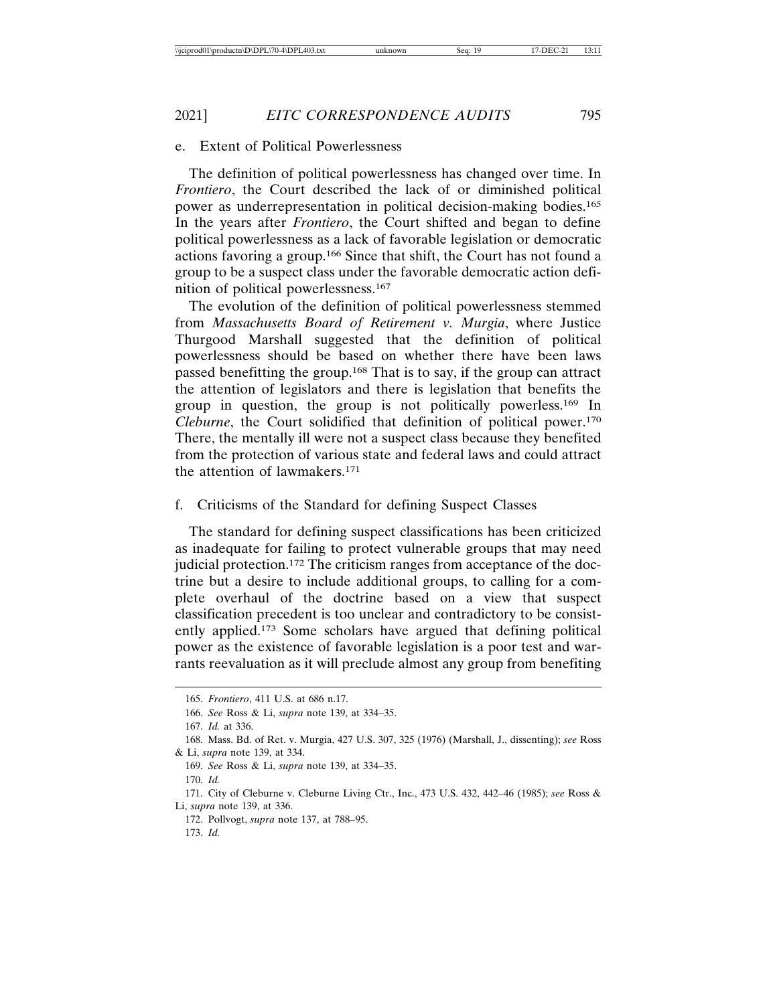#### 2021] *EITC CORRESPONDENCE AUDITS* 795

#### e. Extent of Political Powerlessness

The definition of political powerlessness has changed over time. In *Frontiero*, the Court described the lack of or diminished political power as underrepresentation in political decision-making bodies.165 In the years after *Frontiero*, the Court shifted and began to define political powerlessness as a lack of favorable legislation or democratic actions favoring a group.166 Since that shift, the Court has not found a group to be a suspect class under the favorable democratic action definition of political powerlessness.167

The evolution of the definition of political powerlessness stemmed from *Massachusetts Board of Retirement v. Murgia*, where Justice Thurgood Marshall suggested that the definition of political powerlessness should be based on whether there have been laws passed benefitting the group.168 That is to say, if the group can attract the attention of legislators and there is legislation that benefits the group in question, the group is not politically powerless.169 In *Cleburne*, the Court solidified that definition of political power.170 There, the mentally ill were not a suspect class because they benefited from the protection of various state and federal laws and could attract the attention of lawmakers.171

#### f. Criticisms of the Standard for defining Suspect Classes

The standard for defining suspect classifications has been criticized as inadequate for failing to protect vulnerable groups that may need judicial protection.172 The criticism ranges from acceptance of the doctrine but a desire to include additional groups, to calling for a complete overhaul of the doctrine based on a view that suspect classification precedent is too unclear and contradictory to be consistently applied.173 Some scholars have argued that defining political power as the existence of favorable legislation is a poor test and warrants reevaluation as it will preclude almost any group from benefiting

<sup>165.</sup> *Frontiero*, 411 U.S. at 686 n.17.

<sup>166.</sup> *See* Ross & Li, *supra* note 139, at 334–35.

<sup>167.</sup> *Id.* at 336.

<sup>168.</sup> Mass. Bd. of Ret. v. Murgia, 427 U.S. 307, 325 (1976) (Marshall, J., dissenting); *see* Ross & Li, *supra* note 139, at 334.

<sup>169.</sup> *See* Ross & Li, *supra* note 139, at 334–35.

<sup>170.</sup> *Id.*

<sup>171.</sup> City of Cleburne v. Cleburne Living Ctr., Inc., 473 U.S. 432, 442–46 (1985); *see* Ross & Li, *supra* note 139, at 336.

<sup>172.</sup> Pollvogt, *supra* note 137, at 788–95.

<sup>173.</sup> *Id.*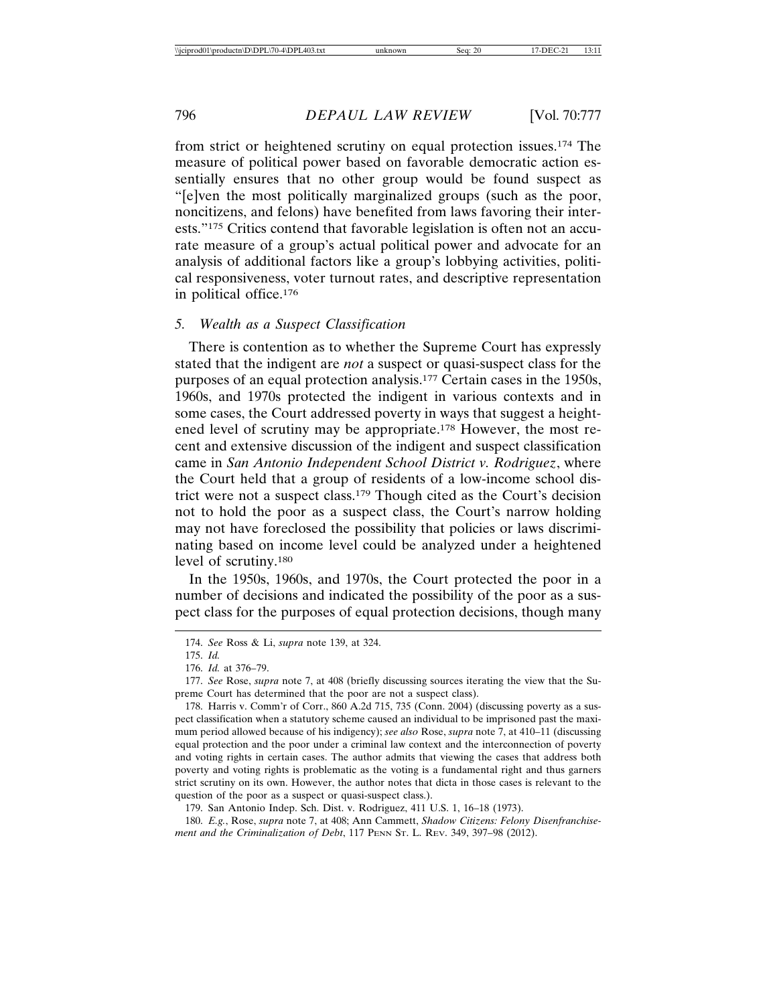from strict or heightened scrutiny on equal protection issues.174 The measure of political power based on favorable democratic action essentially ensures that no other group would be found suspect as "[e]ven the most politically marginalized groups (such as the poor, noncitizens, and felons) have benefited from laws favoring their interests."175 Critics contend that favorable legislation is often not an accurate measure of a group's actual political power and advocate for an analysis of additional factors like a group's lobbying activities, political responsiveness, voter turnout rates, and descriptive representation in political office.176

#### *5. Wealth as a Suspect Classification*

There is contention as to whether the Supreme Court has expressly stated that the indigent are *not* a suspect or quasi-suspect class for the purposes of an equal protection analysis.177 Certain cases in the 1950s, 1960s, and 1970s protected the indigent in various contexts and in some cases, the Court addressed poverty in ways that suggest a heightened level of scrutiny may be appropriate.178 However, the most recent and extensive discussion of the indigent and suspect classification came in *San Antonio Independent School District v. Rodriguez*, where the Court held that a group of residents of a low-income school district were not a suspect class.179 Though cited as the Court's decision not to hold the poor as a suspect class, the Court's narrow holding may not have foreclosed the possibility that policies or laws discriminating based on income level could be analyzed under a heightened level of scrutiny.180

In the 1950s, 1960s, and 1970s, the Court protected the poor in a number of decisions and indicated the possibility of the poor as a suspect class for the purposes of equal protection decisions, though many

179. San Antonio Indep. Sch. Dist. v. Rodriguez, 411 U.S. 1, 16–18 (1973).

<sup>174.</sup> *See* Ross & Li, *supra* note 139, at 324.

<sup>175.</sup> *Id.*

<sup>176.</sup> *Id.* at 376–79.

<sup>177.</sup> *See* Rose, *supra* note 7, at 408 (briefly discussing sources iterating the view that the Supreme Court has determined that the poor are not a suspect class).

<sup>178.</sup> Harris v. Comm'r of Corr., 860 A.2d 715, 735 (Conn. 2004) (discussing poverty as a suspect classification when a statutory scheme caused an individual to be imprisoned past the maximum period allowed because of his indigency); *see also* Rose, *supra* note 7, at 410–11 (discussing equal protection and the poor under a criminal law context and the interconnection of poverty and voting rights in certain cases. The author admits that viewing the cases that address both poverty and voting rights is problematic as the voting is a fundamental right and thus garners strict scrutiny on its own. However, the author notes that dicta in those cases is relevant to the question of the poor as a suspect or quasi-suspect class.).

<sup>180.</sup> *E.g.*, Rose, *supra* note 7, at 408; Ann Cammett, *Shadow Citizens: Felony Disenfranchisement and the Criminalization of Debt*, 117 PENN ST. L. REV. 349, 397–98 (2012).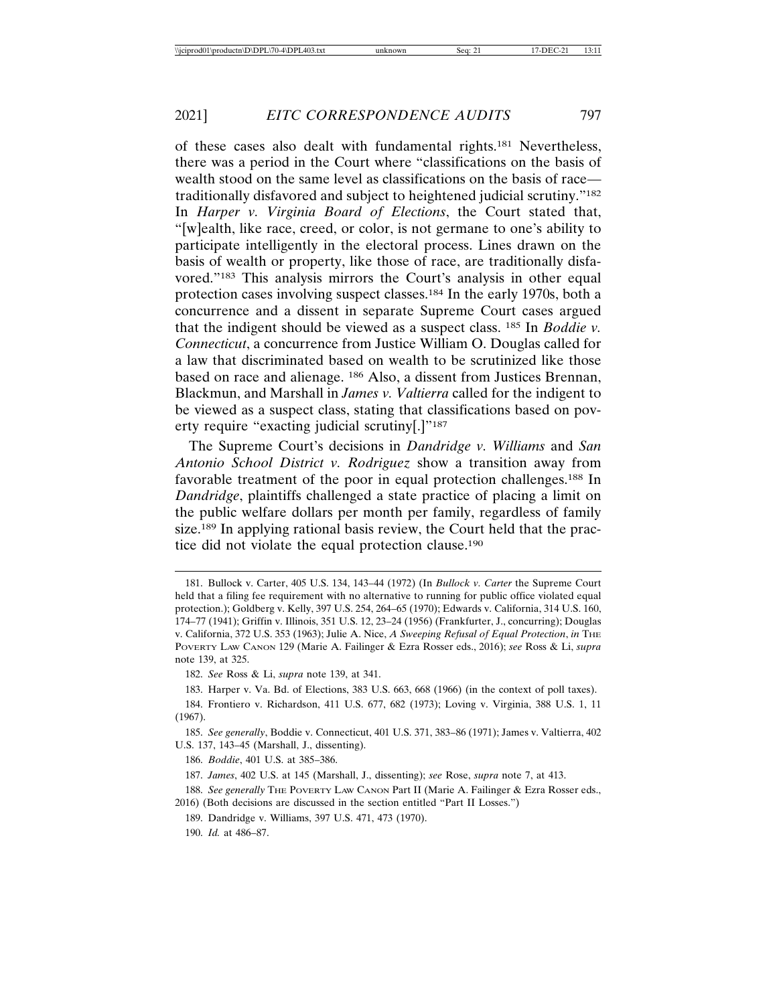of these cases also dealt with fundamental rights.181 Nevertheless, there was a period in the Court where "classifications on the basis of wealth stood on the same level as classifications on the basis of race traditionally disfavored and subject to heightened judicial scrutiny."182 In *Harper v. Virginia Board of Elections*, the Court stated that, "[w]ealth, like race, creed, or color, is not germane to one's ability to participate intelligently in the electoral process. Lines drawn on the basis of wealth or property, like those of race, are traditionally disfavored."183 This analysis mirrors the Court's analysis in other equal protection cases involving suspect classes.184 In the early 1970s, both a concurrence and a dissent in separate Supreme Court cases argued that the indigent should be viewed as a suspect class. 185 In *Boddie v. Connecticut*, a concurrence from Justice William O. Douglas called for a law that discriminated based on wealth to be scrutinized like those based on race and alienage. 186 Also, a dissent from Justices Brennan, Blackmun, and Marshall in *James v. Valtierra* called for the indigent to be viewed as a suspect class, stating that classifications based on poverty require "exacting judicial scrutiny[.]"187

The Supreme Court's decisions in *Dandridge v. Williams* and *San Antonio School District v. Rodriguez* show a transition away from favorable treatment of the poor in equal protection challenges.188 In *Dandridge*, plaintiffs challenged a state practice of placing a limit on the public welfare dollars per month per family, regardless of family size.<sup>189</sup> In applying rational basis review, the Court held that the practice did not violate the equal protection clause.190

183. Harper v. Va. Bd. of Elections, 383 U.S. 663, 668 (1966) (in the context of poll taxes).

190. *Id.* at 486–87.

<sup>181.</sup> Bullock v. Carter, 405 U.S. 134, 143–44 (1972) (In *Bullock v. Carter* the Supreme Court held that a filing fee requirement with no alternative to running for public office violated equal protection.); Goldberg v. Kelly, 397 U.S. 254, 264–65 (1970); Edwards v. California, 314 U.S. 160, 174–77 (1941); Griffin v. Illinois, 351 U.S. 12, 23–24 (1956) (Frankfurter, J., concurring); Douglas v. California, 372 U.S. 353 (1963); Julie A. Nice, *A Sweeping Refusal of Equal Protection*, *in* THE POVERTY LAW CANON 129 (Marie A. Failinger & Ezra Rosser eds., 2016); *see* Ross & Li, *supra* note 139, at 325.

<sup>182.</sup> *See* Ross & Li, *supra* note 139, at 341.

<sup>184.</sup> Frontiero v. Richardson, 411 U.S. 677, 682 (1973); Loving v. Virginia, 388 U.S. 1, 11 (1967).

<sup>185.</sup> *See generally*, Boddie v. Connecticut, 401 U.S. 371, 383–86 (1971); James v. Valtierra, 402 U.S. 137, 143–45 (Marshall, J., dissenting).

<sup>186.</sup> *Boddie*, 401 U.S. at 385–386.

<sup>187.</sup> *James*, 402 U.S. at 145 (Marshall, J., dissenting); *see* Rose, *supra* note 7, at 413.

<sup>188.</sup> See generally THE POVERTY LAW CANON Part II (Marie A. Failinger & Ezra Rosser eds., 2016) (Both decisions are discussed in the section entitled "Part II Losses.")

<sup>189.</sup> Dandridge v. Williams, 397 U.S. 471, 473 (1970).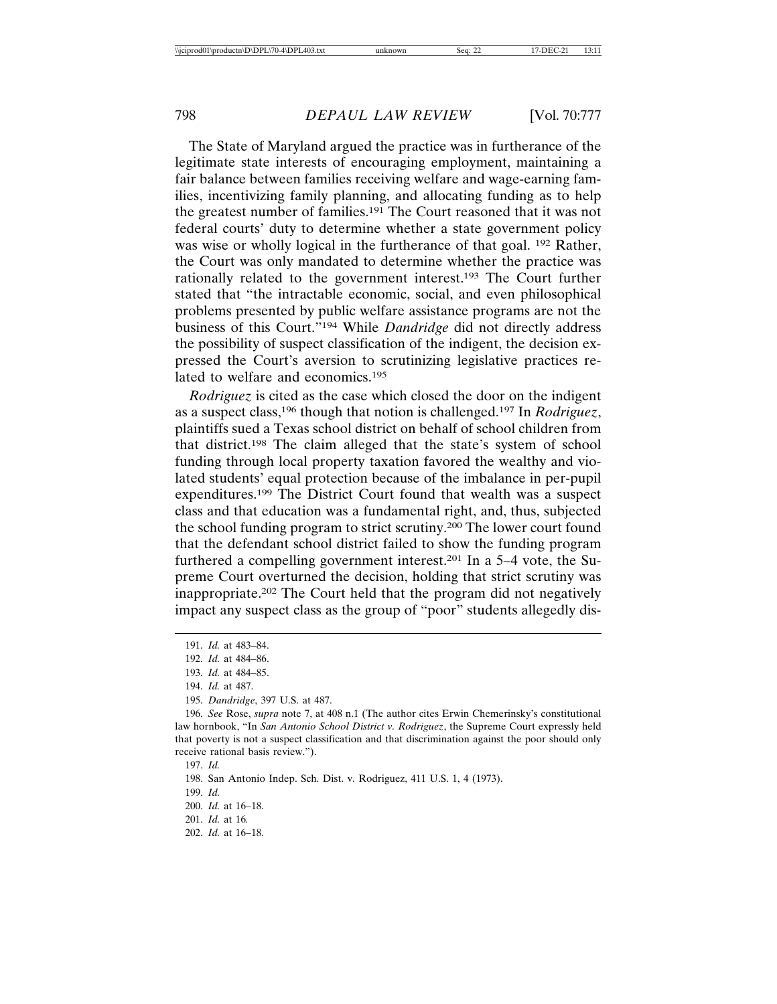The State of Maryland argued the practice was in furtherance of the legitimate state interests of encouraging employment, maintaining a fair balance between families receiving welfare and wage-earning families, incentivizing family planning, and allocating funding as to help the greatest number of families.191 The Court reasoned that it was not federal courts' duty to determine whether a state government policy was wise or wholly logical in the furtherance of that goal. <sup>192</sup> Rather, the Court was only mandated to determine whether the practice was rationally related to the government interest.193 The Court further stated that "the intractable economic, social, and even philosophical problems presented by public welfare assistance programs are not the business of this Court."194 While *Dandridge* did not directly address the possibility of suspect classification of the indigent, the decision expressed the Court's aversion to scrutinizing legislative practices related to welfare and economics.195

*Rodriguez* is cited as the case which closed the door on the indigent as a suspect class,196 though that notion is challenged.197 In *Rodriguez*, plaintiffs sued a Texas school district on behalf of school children from that district.198 The claim alleged that the state's system of school funding through local property taxation favored the wealthy and violated students' equal protection because of the imbalance in per-pupil expenditures.199 The District Court found that wealth was a suspect class and that education was a fundamental right, and, thus, subjected the school funding program to strict scrutiny.200 The lower court found that the defendant school district failed to show the funding program furthered a compelling government interest.201 In a 5–4 vote, the Supreme Court overturned the decision, holding that strict scrutiny was inappropriate.202 The Court held that the program did not negatively impact any suspect class as the group of "poor" students allegedly dis-

<sup>191.</sup> *Id.* at 483–84.

<sup>192.</sup> *Id.* at 484–86.

<sup>193.</sup> *Id.* at 484–85.

<sup>194.</sup> *Id.* at 487.

<sup>195.</sup> *Dandridge*, 397 U.S. at 487.

<sup>196.</sup> *See* Rose, *supra* note 7, at 408 n.1 (The author cites Erwin Chemerinsky's constitutional law hornbook, "In *San Antonio School District v. Rodriguez*, the Supreme Court expressly held that poverty is not a suspect classification and that discrimination against the poor should only receive rational basis review.").

<sup>197.</sup> *Id.*

<sup>198.</sup> San Antonio Indep. Sch. Dist. v. Rodriguez, 411 U.S. 1, 4 (1973).

<sup>199.</sup> *Id.*

<sup>200.</sup> *Id.* at 16–18.

<sup>201.</sup> *Id.* at 16*.*

<sup>202.</sup> *Id.* at 16–18.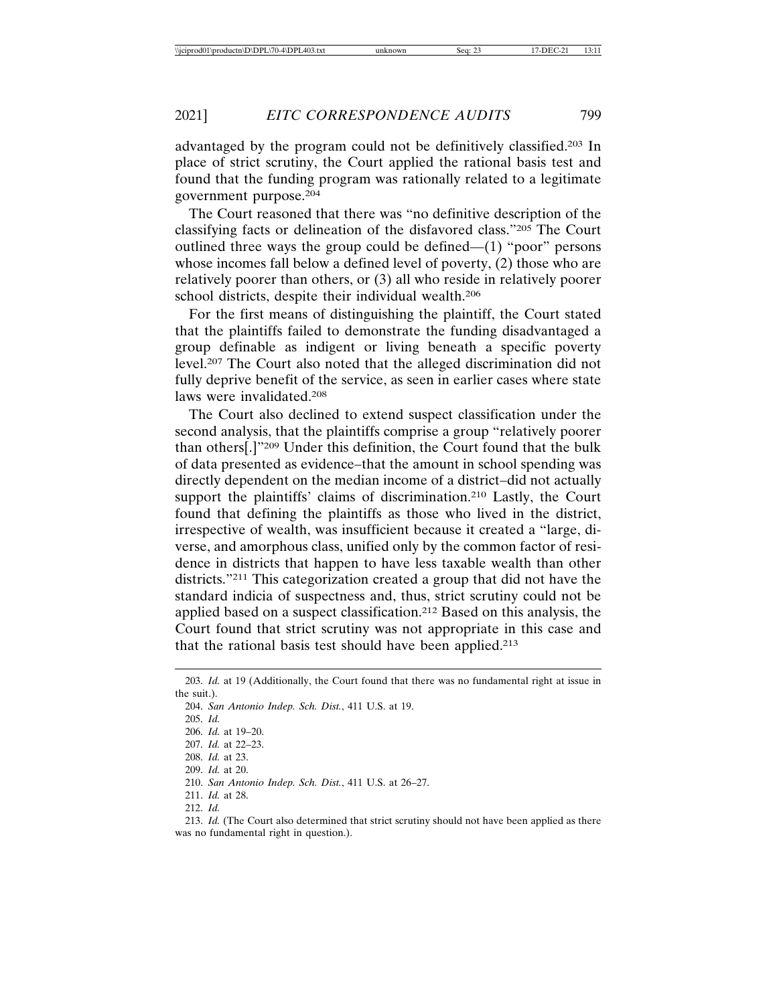advantaged by the program could not be definitively classified.203 In place of strict scrutiny, the Court applied the rational basis test and found that the funding program was rationally related to a legitimate government purpose.204

The Court reasoned that there was "no definitive description of the classifying facts or delineation of the disfavored class."205 The Court outlined three ways the group could be defined—(1) "poor" persons whose incomes fall below a defined level of poverty, (2) those who are relatively poorer than others, or (3) all who reside in relatively poorer school districts, despite their individual wealth.206

For the first means of distinguishing the plaintiff, the Court stated that the plaintiffs failed to demonstrate the funding disadvantaged a group definable as indigent or living beneath a specific poverty level.207 The Court also noted that the alleged discrimination did not fully deprive benefit of the service, as seen in earlier cases where state laws were invalidated.208

The Court also declined to extend suspect classification under the second analysis, that the plaintiffs comprise a group "relatively poorer than others[.]"209 Under this definition, the Court found that the bulk of data presented as evidence–that the amount in school spending was directly dependent on the median income of a district–did not actually support the plaintiffs' claims of discrimination.<sup>210</sup> Lastly, the Court found that defining the plaintiffs as those who lived in the district, irrespective of wealth, was insufficient because it created a "large, diverse, and amorphous class, unified only by the common factor of residence in districts that happen to have less taxable wealth than other districts."211 This categorization created a group that did not have the standard indicia of suspectness and, thus, strict scrutiny could not be applied based on a suspect classification.212 Based on this analysis, the Court found that strict scrutiny was not appropriate in this case and that the rational basis test should have been applied.213

<sup>203.</sup> *Id.* at 19 (Additionally, the Court found that there was no fundamental right at issue in the suit.).

<sup>204.</sup> *San Antonio Indep. Sch. Dist.*, 411 U.S. at 19.

<sup>205.</sup> *Id.*

<sup>206.</sup> *Id.* at 19–20.

<sup>207.</sup> *Id.* at 22–23.

<sup>208.</sup> *Id.* at 23. 209. *Id.* at 20.

<sup>210.</sup> *San Antonio Indep. Sch. Dist.*, 411 U.S. at 26–27.

<sup>211.</sup> *Id.* at 28. 212. *Id.*

<sup>213.</sup> *Id.* (The Court also determined that strict scrutiny should not have been applied as there was no fundamental right in question.).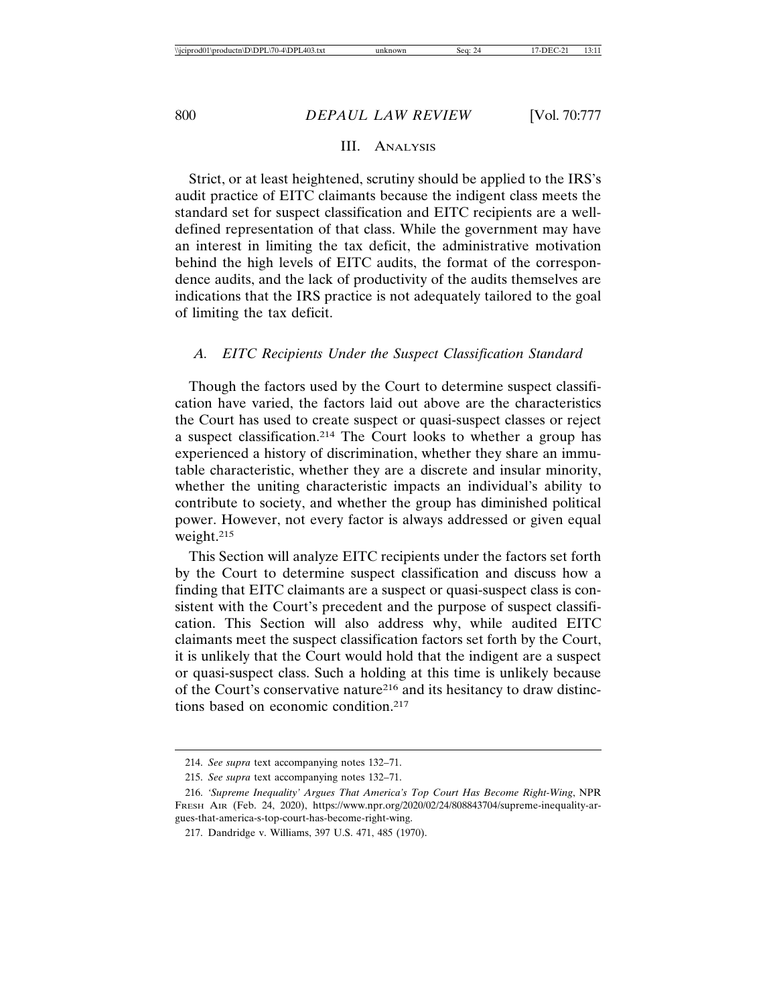## III. ANALYSIS

Strict, or at least heightened, scrutiny should be applied to the IRS's audit practice of EITC claimants because the indigent class meets the standard set for suspect classification and EITC recipients are a welldefined representation of that class. While the government may have an interest in limiting the tax deficit, the administrative motivation behind the high levels of EITC audits, the format of the correspondence audits, and the lack of productivity of the audits themselves are indications that the IRS practice is not adequately tailored to the goal of limiting the tax deficit.

#### *A. EITC Recipients Under the Suspect Classification Standard*

Though the factors used by the Court to determine suspect classification have varied, the factors laid out above are the characteristics the Court has used to create suspect or quasi-suspect classes or reject a suspect classification.214 The Court looks to whether a group has experienced a history of discrimination, whether they share an immutable characteristic, whether they are a discrete and insular minority, whether the uniting characteristic impacts an individual's ability to contribute to society, and whether the group has diminished political power. However, not every factor is always addressed or given equal weight.215

This Section will analyze EITC recipients under the factors set forth by the Court to determine suspect classification and discuss how a finding that EITC claimants are a suspect or quasi-suspect class is consistent with the Court's precedent and the purpose of suspect classification. This Section will also address why, while audited EITC claimants meet the suspect classification factors set forth by the Court, it is unlikely that the Court would hold that the indigent are a suspect or quasi-suspect class. Such a holding at this time is unlikely because of the Court's conservative nature216 and its hesitancy to draw distinctions based on economic condition.217

<sup>214.</sup> *See supra* text accompanying notes 132–71.

<sup>215.</sup> *See supra* text accompanying notes 132–71.

<sup>216.</sup> *'Supreme Inequality' Argues That America's Top Court Has Become Right-Wing*, NPR FRESH AIR (Feb. 24, 2020), https://www.npr.org/2020/02/24/808843704/supreme-inequality-argues-that-america-s-top-court-has-become-right-wing.

<sup>217.</sup> Dandridge v. Williams, 397 U.S. 471, 485 (1970).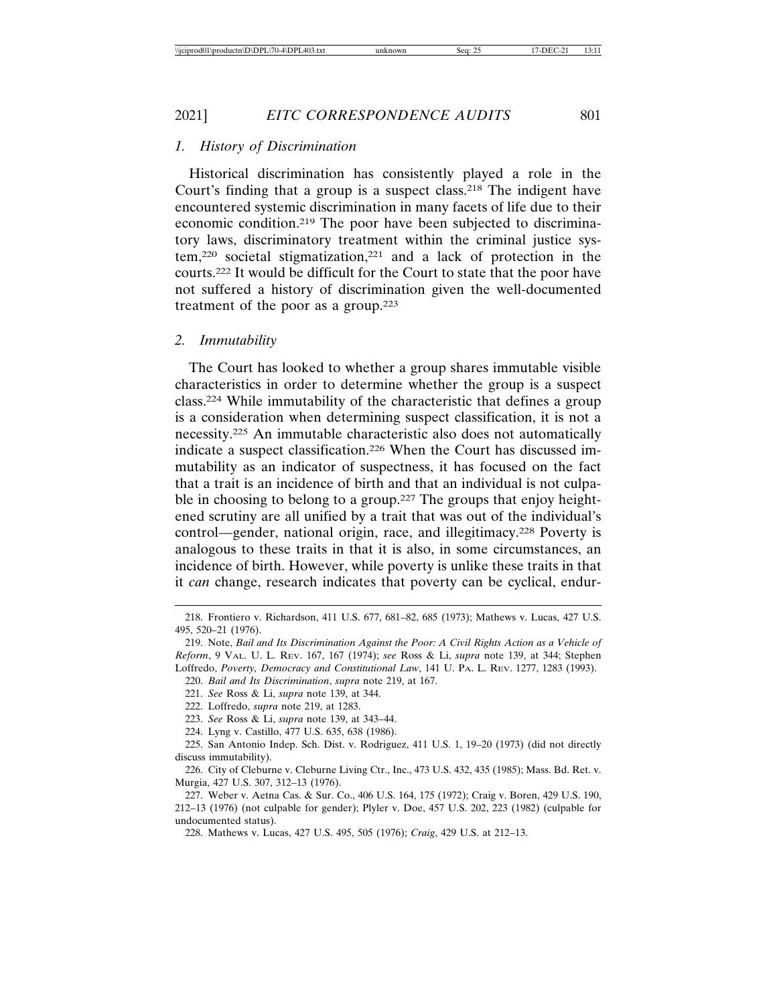#### 2021] *EITC CORRESPONDENCE AUDITS* 801

## *1. History of Discrimination*

Historical discrimination has consistently played a role in the Court's finding that a group is a suspect class.218 The indigent have encountered systemic discrimination in many facets of life due to their economic condition.219 The poor have been subjected to discriminatory laws, discriminatory treatment within the criminal justice system,220 societal stigmatization,221 and a lack of protection in the courts.222 It would be difficult for the Court to state that the poor have not suffered a history of discrimination given the well-documented treatment of the poor as a group.223

#### *2. Immutability*

The Court has looked to whether a group shares immutable visible characteristics in order to determine whether the group is a suspect class.224 While immutability of the characteristic that defines a group is a consideration when determining suspect classification, it is not a necessity.225 An immutable characteristic also does not automatically indicate a suspect classification.226 When the Court has discussed immutability as an indicator of suspectness, it has focused on the fact that a trait is an incidence of birth and that an individual is not culpable in choosing to belong to a group.<sup>227</sup> The groups that enjoy heightened scrutiny are all unified by a trait that was out of the individual's control—gender, national origin, race, and illegitimacy.228 Poverty is analogous to these traits in that it is also, in some circumstances, an incidence of birth. However, while poverty is unlike these traits in that it *can* change, research indicates that poverty can be cyclical, endur-

221. *See* Ross & Li, *supra* note 139, at 344.

<sup>218.</sup> Frontiero v. Richardson, 411 U.S. 677, 681–82, 685 (1973); Mathews v. Lucas, 427 U.S. 495, 520–21 (1976).

<sup>219.</sup> Note, *Bail and Its Discrimination Against the Poor: A Civil Rights Action as a Vehicle of Reform*, 9 VAL. U. L. REV. 167, 167 (1974); *see* Ross & Li, *supra* note 139, at 344; Stephen Loffredo, *Poverty, Democracy and Constitutional Law*, 141 U. PA. L. REV. 1277, 1283 (1993).

<sup>220.</sup> *Bail and Its Discrimination*, *supra* note 219, at 167.

<sup>222.</sup> Loffredo, *supra* note 219, at 1283.

<sup>223.</sup> *See* Ross & Li, *supra* note 139, at 343–44.

<sup>224.</sup> Lyng v. Castillo, 477 U.S. 635, 638 (1986).

<sup>225.</sup> San Antonio Indep. Sch. Dist. v. Rodriguez, 411 U.S. 1, 19–20 (1973) (did not directly discuss immutability).

<sup>226.</sup> City of Cleburne v. Cleburne Living Ctr., Inc., 473 U.S. 432, 435 (1985); Mass. Bd. Ret. v. Murgia, 427 U.S. 307, 312–13 (1976).

<sup>227.</sup> Weber v. Aetna Cas. & Sur. Co., 406 U.S. 164, 175 (1972); Craig v. Boren, 429 U.S. 190, 212–13 (1976) (not culpable for gender); Plyler v. Doe, 457 U.S. 202, 223 (1982) (culpable for undocumented status).

<sup>228.</sup> Mathews v. Lucas, 427 U.S. 495, 505 (1976); *Craig*, 429 U.S. at 212–13.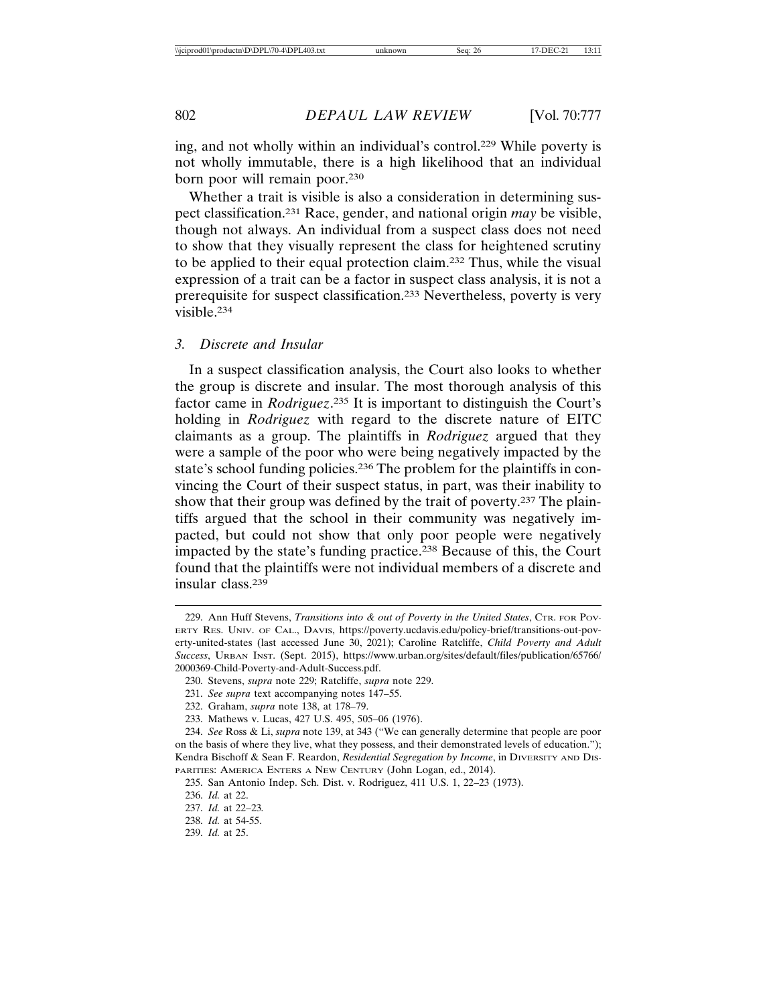ing, and not wholly within an individual's control.229 While poverty is not wholly immutable, there is a high likelihood that an individual born poor will remain poor.230

Whether a trait is visible is also a consideration in determining suspect classification.231 Race, gender, and national origin *may* be visible, though not always. An individual from a suspect class does not need to show that they visually represent the class for heightened scrutiny to be applied to their equal protection claim.232 Thus, while the visual expression of a trait can be a factor in suspect class analysis, it is not a prerequisite for suspect classification.233 Nevertheless, poverty is very visible.234

#### *3. Discrete and Insular*

In a suspect classification analysis, the Court also looks to whether the group is discrete and insular. The most thorough analysis of this factor came in *Rodriguez*. 235 It is important to distinguish the Court's holding in *Rodriguez* with regard to the discrete nature of EITC claimants as a group. The plaintiffs in *Rodriguez* argued that they were a sample of the poor who were being negatively impacted by the state's school funding policies.<sup>236</sup> The problem for the plaintiffs in convincing the Court of their suspect status, in part, was their inability to show that their group was defined by the trait of poverty.237 The plaintiffs argued that the school in their community was negatively impacted, but could not show that only poor people were negatively impacted by the state's funding practice.238 Because of this, the Court found that the plaintiffs were not individual members of a discrete and insular class.239

<sup>229.</sup> Ann Huff Stevens, *Transitions into & out of Poverty in the United States*, CTR. FOR POV-ERTY RES. UNIV. OF CAL., DAVIS, https://poverty.ucdavis.edu/policy-brief/transitions-out-poverty-united-states (last accessed June 30, 2021); Caroline Ratcliffe, *Child Poverty and Adult Success*, URBAN INST. (Sept. 2015), https://www.urban.org/sites/default/files/publication/65766/ 2000369-Child-Poverty-and-Adult-Success.pdf.

<sup>230.</sup> Stevens, *supra* note 229; Ratcliffe, *supra* note 229.

<sup>231.</sup> *See supra* text accompanying notes 147–55.

<sup>232.</sup> Graham, *supra* note 138, at 178–79.

<sup>233.</sup> Mathews v. Lucas, 427 U.S. 495, 505–06 (1976).

<sup>234.</sup> *See* Ross & Li, *supra* note 139, at 343 ("We can generally determine that people are poor on the basis of where they live, what they possess, and their demonstrated levels of education."); Kendra Bischoff & Sean F. Reardon, *Residential Segregation by Income*, in DIVERSITY AND DIS-PARITIES: AMERICA ENTERS A NEW CENTURY (John Logan, ed., 2014).

<sup>235.</sup> San Antonio Indep. Sch. Dist. v. Rodriguez, 411 U.S. 1, 22–23 (1973).

<sup>236.</sup> *Id.* at 22.

<sup>237.</sup> *Id.* at 22–23*.*

<sup>238.</sup> *Id.* at 54-55.

<sup>239.</sup> *Id.* at 25.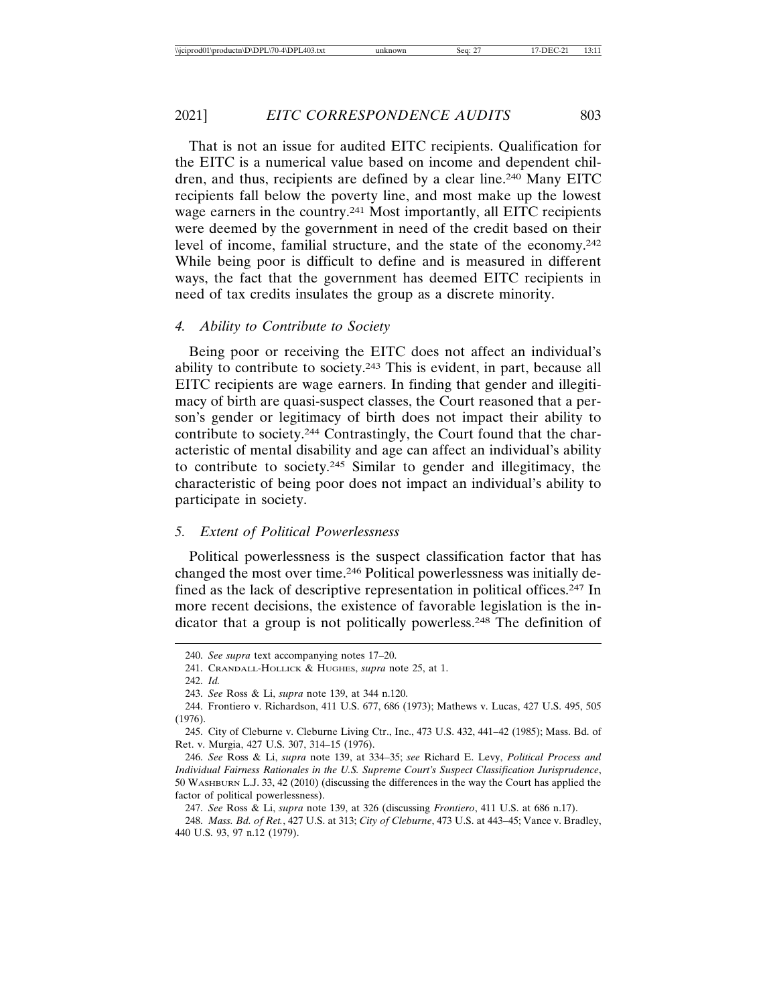That is not an issue for audited EITC recipients. Qualification for the EITC is a numerical value based on income and dependent children, and thus, recipients are defined by a clear line.240 Many EITC recipients fall below the poverty line, and most make up the lowest wage earners in the country.241 Most importantly, all EITC recipients were deemed by the government in need of the credit based on their level of income, familial structure, and the state of the economy.242 While being poor is difficult to define and is measured in different ways, the fact that the government has deemed EITC recipients in need of tax credits insulates the group as a discrete minority.

#### *4. Ability to Contribute to Society*

Being poor or receiving the EITC does not affect an individual's ability to contribute to society.243 This is evident, in part, because all EITC recipients are wage earners. In finding that gender and illegitimacy of birth are quasi-suspect classes, the Court reasoned that a person's gender or legitimacy of birth does not impact their ability to contribute to society.244 Contrastingly, the Court found that the characteristic of mental disability and age can affect an individual's ability to contribute to society.245 Similar to gender and illegitimacy, the characteristic of being poor does not impact an individual's ability to participate in society.

#### *5. Extent of Political Powerlessness*

Political powerlessness is the suspect classification factor that has changed the most over time.246 Political powerlessness was initially defined as the lack of descriptive representation in political offices.247 In more recent decisions, the existence of favorable legislation is the indicator that a group is not politically powerless.248 The definition of

<sup>240.</sup> *See supra* text accompanying notes 17–20.

<sup>241.</sup> CRANDALL-HOLLICK & HUGHES, *supra* note 25, at 1.

<sup>242.</sup> *Id.*

<sup>243.</sup> *See* Ross & Li, *supra* note 139, at 344 n.120.

<sup>244.</sup> Frontiero v. Richardson, 411 U.S. 677, 686 (1973); Mathews v. Lucas, 427 U.S. 495, 505 (1976).

<sup>245.</sup> City of Cleburne v. Cleburne Living Ctr., Inc., 473 U.S. 432, 441–42 (1985); Mass. Bd. of Ret. v. Murgia, 427 U.S. 307, 314–15 (1976).

<sup>246.</sup> *See* Ross & Li, *supra* note 139, at 334–35; *see* Richard E. Levy, *Political Process and Individual Fairness Rationales in the U.S. Supreme Court's Suspect Classification Jurisprudence*, 50 WASHBURN L.J. 33, 42 (2010) (discussing the differences in the way the Court has applied the factor of political powerlessness).

<sup>247.</sup> *See* Ross & Li, *supra* note 139, at 326 (discussing *Frontiero*, 411 U.S. at 686 n.17).

<sup>248.</sup> *Mass. Bd. of Ret.*, 427 U.S. at 313; *City of Cleburne*, 473 U.S. at 443–45; Vance v. Bradley, 440 U.S. 93, 97 n.12 (1979).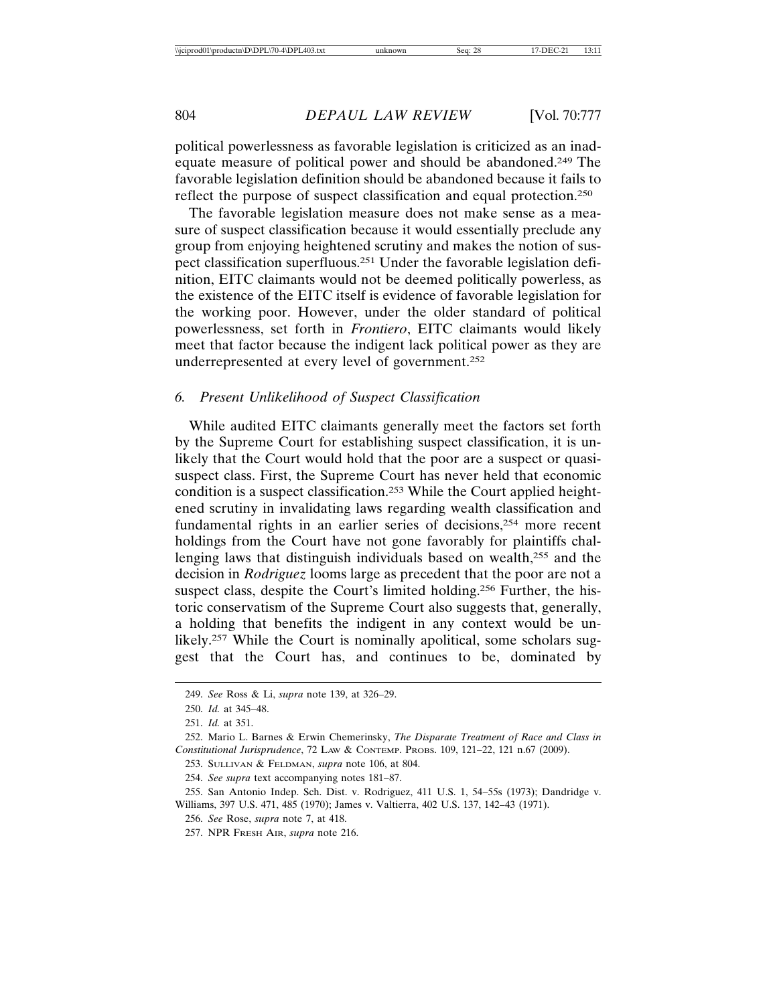political powerlessness as favorable legislation is criticized as an inadequate measure of political power and should be abandoned.249 The favorable legislation definition should be abandoned because it fails to reflect the purpose of suspect classification and equal protection.250

The favorable legislation measure does not make sense as a measure of suspect classification because it would essentially preclude any group from enjoying heightened scrutiny and makes the notion of suspect classification superfluous.251 Under the favorable legislation definition, EITC claimants would not be deemed politically powerless, as the existence of the EITC itself is evidence of favorable legislation for the working poor. However, under the older standard of political powerlessness, set forth in *Frontiero*, EITC claimants would likely meet that factor because the indigent lack political power as they are underrepresented at every level of government.252

#### *6. Present Unlikelihood of Suspect Classification*

While audited EITC claimants generally meet the factors set forth by the Supreme Court for establishing suspect classification, it is unlikely that the Court would hold that the poor are a suspect or quasisuspect class. First, the Supreme Court has never held that economic condition is a suspect classification.253 While the Court applied heightened scrutiny in invalidating laws regarding wealth classification and fundamental rights in an earlier series of decisions,254 more recent holdings from the Court have not gone favorably for plaintiffs challenging laws that distinguish individuals based on wealth,255 and the decision in *Rodriguez* looms large as precedent that the poor are not a suspect class, despite the Court's limited holding.<sup>256</sup> Further, the historic conservatism of the Supreme Court also suggests that, generally, a holding that benefits the indigent in any context would be unlikely.<sup>257</sup> While the Court is nominally apolitical, some scholars suggest that the Court has, and continues to be, dominated by

<sup>249.</sup> *See* Ross & Li, *supra* note 139, at 326–29.

<sup>250.</sup> *Id.* at 345–48.

<sup>251.</sup> *Id.* at 351.

<sup>252.</sup> Mario L. Barnes & Erwin Chemerinsky, *The Disparate Treatment of Race and Class in Constitutional Jurisprudence*, 72 LAW & CONTEMP. PROBS. 109, 121–22, 121 n.67 (2009).

<sup>253.</sup> SULLIVAN & FELDMAN, *supra* note 106, at 804.

<sup>254.</sup> *See supra* text accompanying notes 181–87.

<sup>255.</sup> San Antonio Indep. Sch. Dist. v. Rodriguez, 411 U.S. 1, 54–55s (1973); Dandridge v. Williams, 397 U.S. 471, 485 (1970); James v. Valtierra, 402 U.S. 137, 142–43 (1971).

<sup>256.</sup> *See* Rose, *supra* note 7, at 418.

<sup>257.</sup> NPR FRESH AIR, *supra* note 216.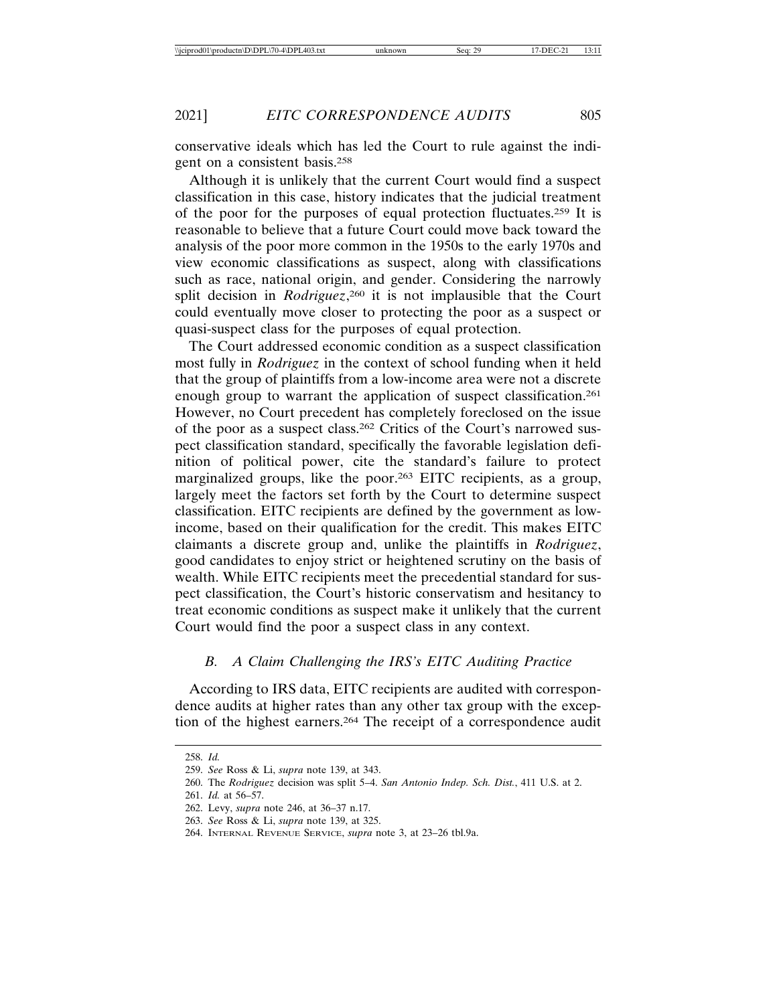conservative ideals which has led the Court to rule against the indigent on a consistent basis.258

Although it is unlikely that the current Court would find a suspect classification in this case, history indicates that the judicial treatment of the poor for the purposes of equal protection fluctuates.259 It is reasonable to believe that a future Court could move back toward the analysis of the poor more common in the 1950s to the early 1970s and view economic classifications as suspect, along with classifications such as race, national origin, and gender. Considering the narrowly split decision in *Rodriguez*, 260 it is not implausible that the Court could eventually move closer to protecting the poor as a suspect or quasi-suspect class for the purposes of equal protection.

The Court addressed economic condition as a suspect classification most fully in *Rodriguez* in the context of school funding when it held that the group of plaintiffs from a low-income area were not a discrete enough group to warrant the application of suspect classification.261 However, no Court precedent has completely foreclosed on the issue of the poor as a suspect class.262 Critics of the Court's narrowed suspect classification standard, specifically the favorable legislation definition of political power, cite the standard's failure to protect marginalized groups, like the poor.263 EITC recipients, as a group, largely meet the factors set forth by the Court to determine suspect classification. EITC recipients are defined by the government as lowincome, based on their qualification for the credit. This makes EITC claimants a discrete group and, unlike the plaintiffs in *Rodriguez*, good candidates to enjoy strict or heightened scrutiny on the basis of wealth. While EITC recipients meet the precedential standard for suspect classification, the Court's historic conservatism and hesitancy to treat economic conditions as suspect make it unlikely that the current Court would find the poor a suspect class in any context.

#### *B. A Claim Challenging the IRS's EITC Auditing Practice*

According to IRS data, EITC recipients are audited with correspondence audits at higher rates than any other tax group with the exception of the highest earners.264 The receipt of a correspondence audit

<sup>258.</sup> *Id.*

<sup>259.</sup> *See* Ross & Li, *supra* note 139, at 343.

<sup>260.</sup> The *Rodriguez* decision was split 5–4. *San Antonio Indep. Sch. Dist.*, 411 U.S. at 2.

<sup>261.</sup> *Id.* at 56–57.

<sup>262.</sup> Levy, *supra* note 246, at 36–37 n.17.

<sup>263.</sup> *See* Ross & Li, *supra* note 139, at 325.

<sup>264.</sup> INTERNAL REVENUE SERVICE, *supra* note 3, at 23–26 tbl.9a.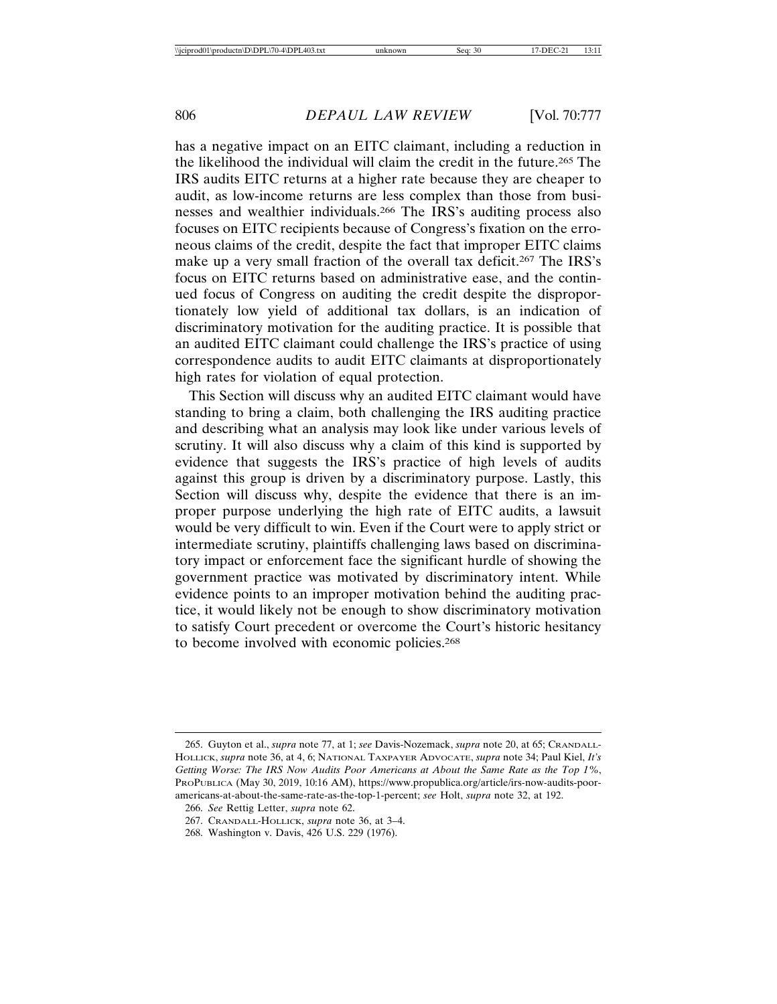has a negative impact on an EITC claimant, including a reduction in the likelihood the individual will claim the credit in the future.265 The IRS audits EITC returns at a higher rate because they are cheaper to audit, as low-income returns are less complex than those from businesses and wealthier individuals.266 The IRS's auditing process also focuses on EITC recipients because of Congress's fixation on the erroneous claims of the credit, despite the fact that improper EITC claims make up a very small fraction of the overall tax deficit.267 The IRS's focus on EITC returns based on administrative ease, and the continued focus of Congress on auditing the credit despite the disproportionately low yield of additional tax dollars, is an indication of discriminatory motivation for the auditing practice. It is possible that an audited EITC claimant could challenge the IRS's practice of using correspondence audits to audit EITC claimants at disproportionately high rates for violation of equal protection.

This Section will discuss why an audited EITC claimant would have standing to bring a claim, both challenging the IRS auditing practice and describing what an analysis may look like under various levels of scrutiny. It will also discuss why a claim of this kind is supported by evidence that suggests the IRS's practice of high levels of audits against this group is driven by a discriminatory purpose. Lastly, this Section will discuss why, despite the evidence that there is an improper purpose underlying the high rate of EITC audits, a lawsuit would be very difficult to win. Even if the Court were to apply strict or intermediate scrutiny, plaintiffs challenging laws based on discriminatory impact or enforcement face the significant hurdle of showing the government practice was motivated by discriminatory intent. While evidence points to an improper motivation behind the auditing practice, it would likely not be enough to show discriminatory motivation to satisfy Court precedent or overcome the Court's historic hesitancy to become involved with economic policies.268

<sup>265.</sup> Guyton et al., *supra* note 77, at 1; *see* Davis-Nozemack, *supra* note 20, at 65; CRANDALL-HOLLICK, *supra* note 36, at 4, 6; NATIONAL TAXPAYER ADVOCATE, *supra* note 34; Paul Kiel, *It's Getting Worse: The IRS Now Audits Poor Americans at About the Same Rate as the Top 1%*, PROPUBLICA (May 30, 2019, 10:16 AM), https://www.propublica.org/article/irs-now-audits-pooramericans-at-about-the-same-rate-as-the-top-1-percent; *see* Holt, *supra* note 32, at 192.

<sup>266.</sup> *See* Rettig Letter, *supra* note 62.

<sup>267.</sup> CRANDALL-HOLLICK, *supra* note 36, at 3–4.

<sup>268.</sup> Washington v. Davis, 426 U.S. 229 (1976).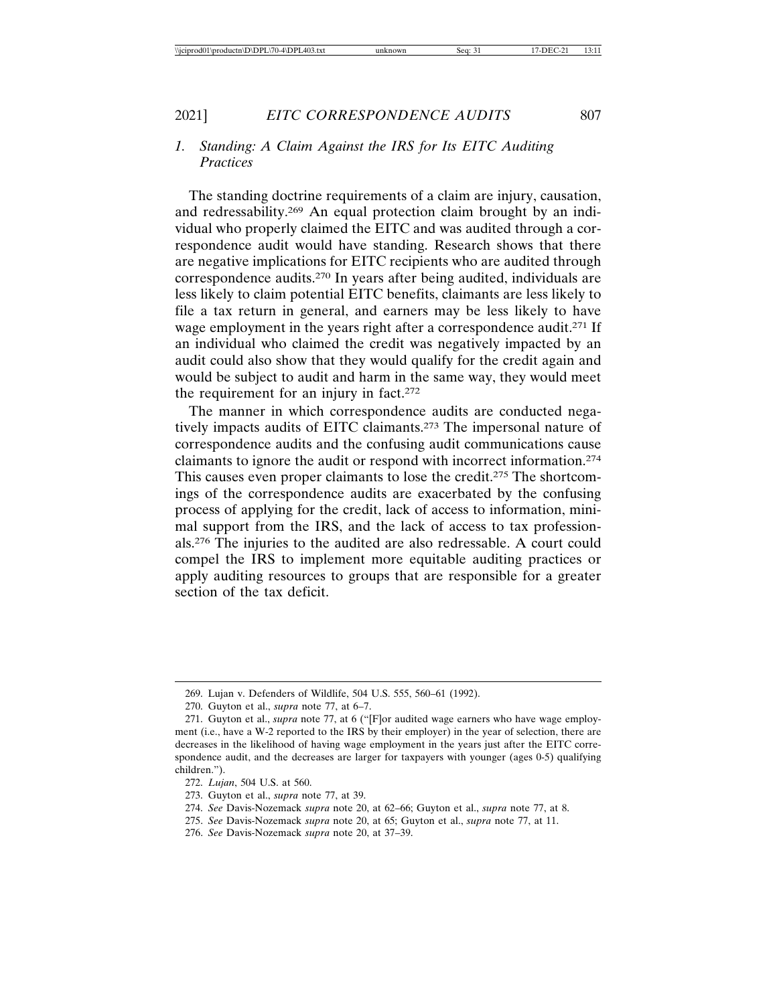## *1. Standing: A Claim Against the IRS for Its EITC Auditing Practices*

The standing doctrine requirements of a claim are injury, causation, and redressability.269 An equal protection claim brought by an individual who properly claimed the EITC and was audited through a correspondence audit would have standing. Research shows that there are negative implications for EITC recipients who are audited through correspondence audits.270 In years after being audited, individuals are less likely to claim potential EITC benefits, claimants are less likely to file a tax return in general, and earners may be less likely to have wage employment in the years right after a correspondence audit.271 If an individual who claimed the credit was negatively impacted by an audit could also show that they would qualify for the credit again and would be subject to audit and harm in the same way, they would meet the requirement for an injury in fact.272

The manner in which correspondence audits are conducted negatively impacts audits of EITC claimants.273 The impersonal nature of correspondence audits and the confusing audit communications cause claimants to ignore the audit or respond with incorrect information.274 This causes even proper claimants to lose the credit.275 The shortcomings of the correspondence audits are exacerbated by the confusing process of applying for the credit, lack of access to information, minimal support from the IRS, and the lack of access to tax professionals.276 The injuries to the audited are also redressable. A court could compel the IRS to implement more equitable auditing practices or apply auditing resources to groups that are responsible for a greater section of the tax deficit.

- 274. *See* Davis-Nozemack *supra* note 20, at 62–66; Guyton et al., *supra* note 77, at 8.
- 275. *See* Davis-Nozemack *supra* note 20, at 65; Guyton et al., *supra* note 77, at 11.
- 276. *See* Davis-Nozemack *supra* note 20, at 37–39.

<sup>269.</sup> Lujan v. Defenders of Wildlife, 504 U.S. 555, 560–61 (1992).

<sup>270.</sup> Guyton et al., *supra* note 77, at 6–7.

<sup>271.</sup> Guyton et al., *supra* note 77, at 6 ("[F]or audited wage earners who have wage employment (i.e., have a W-2 reported to the IRS by their employer) in the year of selection, there are decreases in the likelihood of having wage employment in the years just after the EITC correspondence audit, and the decreases are larger for taxpayers with younger (ages 0-5) qualifying children.").

<sup>272.</sup> *Lujan*, 504 U.S. at 560.

<sup>273.</sup> Guyton et al., *supra* note 77, at 39.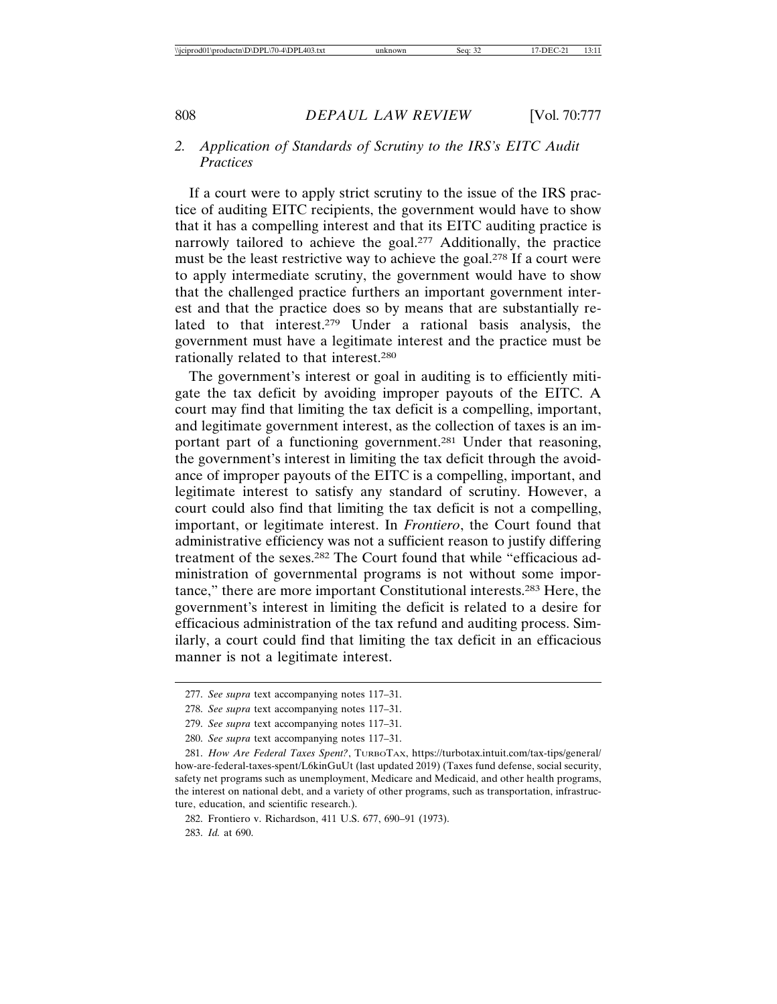## *2. Application of Standards of Scrutiny to the IRS's EITC Audit Practices*

If a court were to apply strict scrutiny to the issue of the IRS practice of auditing EITC recipients, the government would have to show that it has a compelling interest and that its EITC auditing practice is narrowly tailored to achieve the goal.<sup>277</sup> Additionally, the practice must be the least restrictive way to achieve the goal.278 If a court were to apply intermediate scrutiny, the government would have to show that the challenged practice furthers an important government interest and that the practice does so by means that are substantially related to that interest.279 Under a rational basis analysis, the government must have a legitimate interest and the practice must be rationally related to that interest.280

The government's interest or goal in auditing is to efficiently mitigate the tax deficit by avoiding improper payouts of the EITC. A court may find that limiting the tax deficit is a compelling, important, and legitimate government interest, as the collection of taxes is an important part of a functioning government.281 Under that reasoning, the government's interest in limiting the tax deficit through the avoidance of improper payouts of the EITC is a compelling, important, and legitimate interest to satisfy any standard of scrutiny. However, a court could also find that limiting the tax deficit is not a compelling, important, or legitimate interest. In *Frontiero*, the Court found that administrative efficiency was not a sufficient reason to justify differing treatment of the sexes.282 The Court found that while "efficacious administration of governmental programs is not without some importance," there are more important Constitutional interests.283 Here, the government's interest in limiting the deficit is related to a desire for efficacious administration of the tax refund and auditing process. Similarly, a court could find that limiting the tax deficit in an efficacious manner is not a legitimate interest.

283. *Id.* at 690.

<sup>277.</sup> *See supra* text accompanying notes 117–31.

<sup>278.</sup> *See supra* text accompanying notes 117–31.

<sup>279.</sup> *See supra* text accompanying notes 117–31.

<sup>280.</sup> *See supra* text accompanying notes 117–31.

<sup>281.</sup> *How Are Federal Taxes Spent?*, TURBOTAX, https://turbotax.intuit.com/tax-tips/general/ how-are-federal-taxes-spent/L6kinGuUt (last updated 2019) (Taxes fund defense, social security, safety net programs such as unemployment, Medicare and Medicaid, and other health programs, the interest on national debt, and a variety of other programs, such as transportation, infrastructure, education, and scientific research.).

<sup>282.</sup> Frontiero v. Richardson, 411 U.S. 677, 690–91 (1973).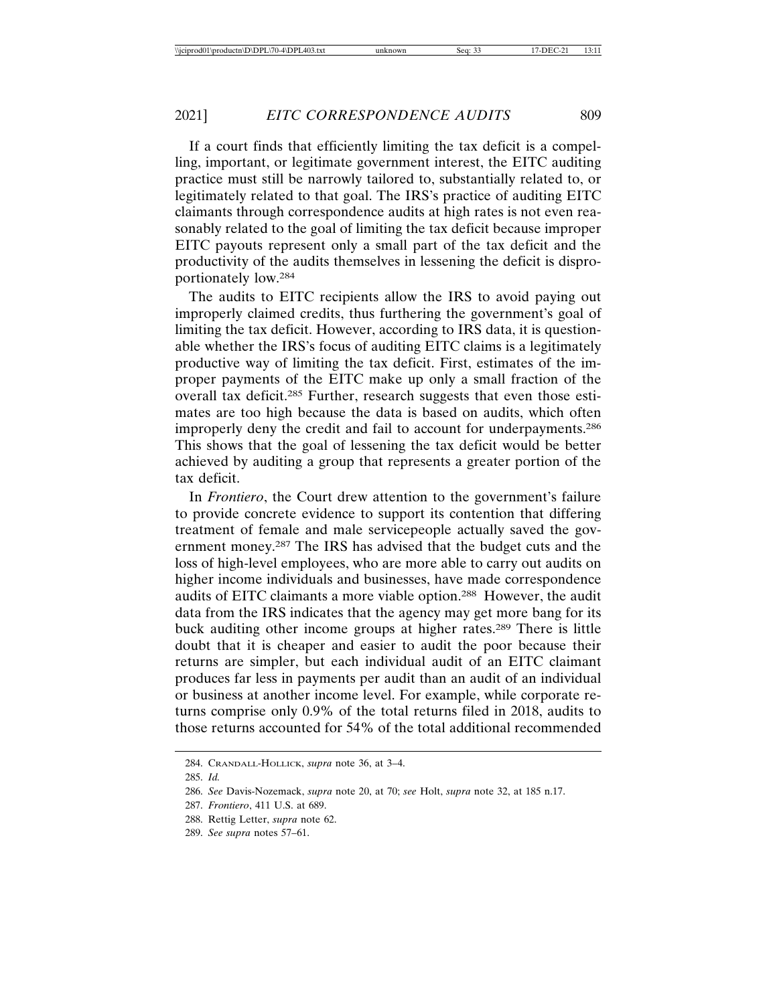If a court finds that efficiently limiting the tax deficit is a compelling, important, or legitimate government interest, the EITC auditing practice must still be narrowly tailored to, substantially related to, or legitimately related to that goal. The IRS's practice of auditing EITC claimants through correspondence audits at high rates is not even reasonably related to the goal of limiting the tax deficit because improper EITC payouts represent only a small part of the tax deficit and the productivity of the audits themselves in lessening the deficit is disproportionately low.284

The audits to EITC recipients allow the IRS to avoid paying out improperly claimed credits, thus furthering the government's goal of limiting the tax deficit. However, according to IRS data, it is questionable whether the IRS's focus of auditing EITC claims is a legitimately productive way of limiting the tax deficit. First, estimates of the improper payments of the EITC make up only a small fraction of the overall tax deficit.285 Further, research suggests that even those estimates are too high because the data is based on audits, which often improperly deny the credit and fail to account for underpayments.286 This shows that the goal of lessening the tax deficit would be better achieved by auditing a group that represents a greater portion of the tax deficit.

In *Frontiero*, the Court drew attention to the government's failure to provide concrete evidence to support its contention that differing treatment of female and male servicepeople actually saved the government money.287 The IRS has advised that the budget cuts and the loss of high-level employees, who are more able to carry out audits on higher income individuals and businesses, have made correspondence audits of EITC claimants a more viable option.288 However, the audit data from the IRS indicates that the agency may get more bang for its buck auditing other income groups at higher rates.289 There is little doubt that it is cheaper and easier to audit the poor because their returns are simpler, but each individual audit of an EITC claimant produces far less in payments per audit than an audit of an individual or business at another income level. For example, while corporate returns comprise only 0.9% of the total returns filed in 2018, audits to those returns accounted for 54% of the total additional recommended

<sup>284.</sup> CRANDALL-HOLLICK, *supra* note 36, at 3–4.

<sup>285.</sup> *Id.*

<sup>286.</sup> *See* Davis-Nozemack, *supra* note 20, at 70; *see* Holt, *supra* note 32, at 185 n.17.

<sup>287.</sup> *Frontiero*, 411 U.S. at 689.

<sup>288.</sup> Rettig Letter, *supra* note 62.

<sup>289.</sup> *See supra* notes 57–61.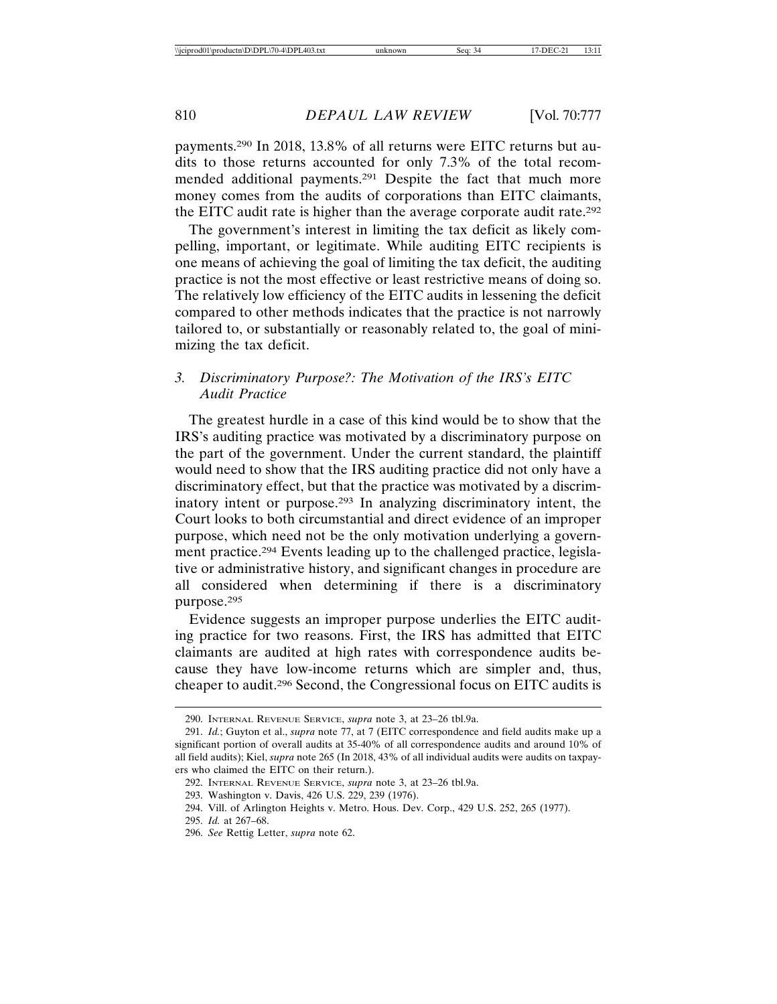payments.290 In 2018, 13.8% of all returns were EITC returns but audits to those returns accounted for only 7.3% of the total recommended additional payments.291 Despite the fact that much more money comes from the audits of corporations than EITC claimants, the EITC audit rate is higher than the average corporate audit rate.292

The government's interest in limiting the tax deficit as likely compelling, important, or legitimate. While auditing EITC recipients is one means of achieving the goal of limiting the tax deficit, the auditing practice is not the most effective or least restrictive means of doing so. The relatively low efficiency of the EITC audits in lessening the deficit compared to other methods indicates that the practice is not narrowly tailored to, or substantially or reasonably related to, the goal of minimizing the tax deficit.

## *3. Discriminatory Purpose?: The Motivation of the IRS's EITC Audit Practice*

The greatest hurdle in a case of this kind would be to show that the IRS's auditing practice was motivated by a discriminatory purpose on the part of the government. Under the current standard, the plaintiff would need to show that the IRS auditing practice did not only have a discriminatory effect, but that the practice was motivated by a discriminatory intent or purpose.293 In analyzing discriminatory intent, the Court looks to both circumstantial and direct evidence of an improper purpose, which need not be the only motivation underlying a government practice.294 Events leading up to the challenged practice, legislative or administrative history, and significant changes in procedure are all considered when determining if there is a discriminatory purpose.295

Evidence suggests an improper purpose underlies the EITC auditing practice for two reasons. First, the IRS has admitted that EITC claimants are audited at high rates with correspondence audits because they have low-income returns which are simpler and, thus, cheaper to audit.296 Second, the Congressional focus on EITC audits is

<sup>290.</sup> INTERNAL REVENUE SERVICE, *supra* note 3, at 23–26 tbl.9a.

<sup>291.</sup> *Id.*; Guyton et al., *supra* note 77, at 7 (EITC correspondence and field audits make up a significant portion of overall audits at 35-40% of all correspondence audits and around 10% of all field audits); Kiel, *supra* note 265 (In 2018, 43% of all individual audits were audits on taxpayers who claimed the EITC on their return.).

<sup>292.</sup> INTERNAL REVENUE SERVICE, *supra* note 3, at 23–26 tbl.9a.

<sup>293.</sup> Washington v. Davis, 426 U.S. 229, 239 (1976).

<sup>294.</sup> Vill. of Arlington Heights v. Metro. Hous. Dev. Corp., 429 U.S. 252, 265 (1977).

<sup>295.</sup> *Id.* at 267–68.

<sup>296.</sup> *See* Rettig Letter, *supra* note 62.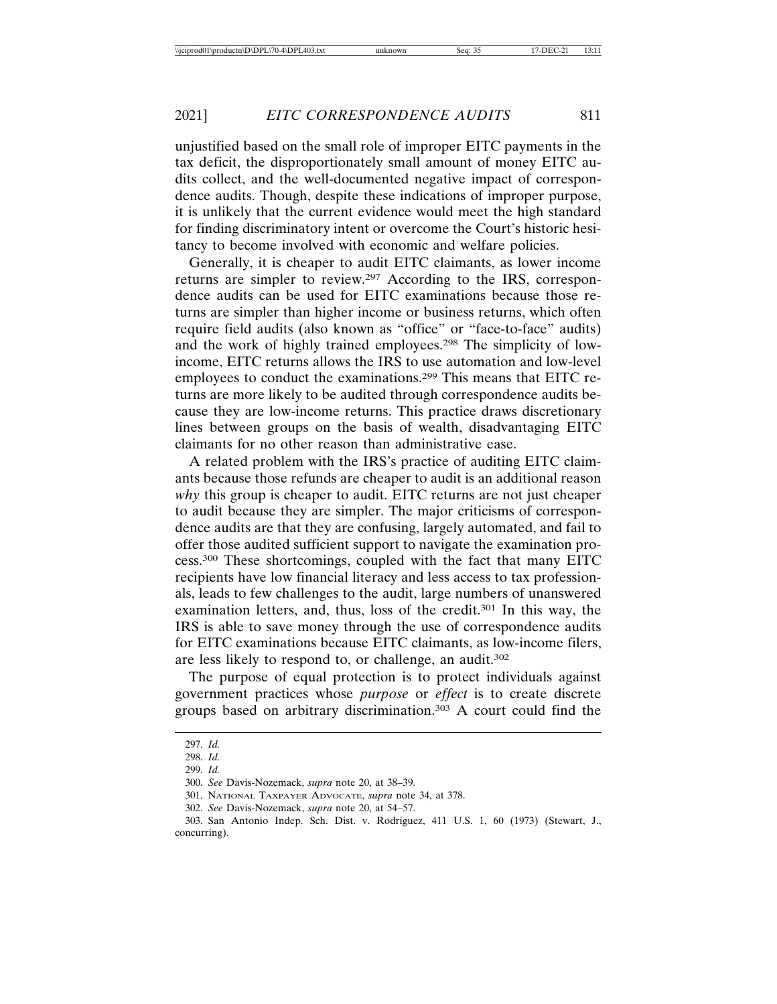unjustified based on the small role of improper EITC payments in the tax deficit, the disproportionately small amount of money EITC audits collect, and the well-documented negative impact of correspondence audits. Though, despite these indications of improper purpose, it is unlikely that the current evidence would meet the high standard for finding discriminatory intent or overcome the Court's historic hesitancy to become involved with economic and welfare policies.

Generally, it is cheaper to audit EITC claimants, as lower income returns are simpler to review.297 According to the IRS, correspondence audits can be used for EITC examinations because those returns are simpler than higher income or business returns, which often require field audits (also known as "office" or "face-to-face" audits) and the work of highly trained employees.298 The simplicity of lowincome, EITC returns allows the IRS to use automation and low-level employees to conduct the examinations.299 This means that EITC returns are more likely to be audited through correspondence audits because they are low-income returns. This practice draws discretionary lines between groups on the basis of wealth, disadvantaging EITC claimants for no other reason than administrative ease.

A related problem with the IRS's practice of auditing EITC claimants because those refunds are cheaper to audit is an additional reason *why* this group is cheaper to audit. EITC returns are not just cheaper to audit because they are simpler. The major criticisms of correspondence audits are that they are confusing, largely automated, and fail to offer those audited sufficient support to navigate the examination process.300 These shortcomings, coupled with the fact that many EITC recipients have low financial literacy and less access to tax professionals, leads to few challenges to the audit, large numbers of unanswered examination letters, and, thus, loss of the credit.301 In this way, the IRS is able to save money through the use of correspondence audits for EITC examinations because EITC claimants, as low-income filers, are less likely to respond to, or challenge, an audit.302

The purpose of equal protection is to protect individuals against government practices whose *purpose* or *effect* is to create discrete groups based on arbitrary discrimination.303 A court could find the

<sup>297.</sup> *Id.*

<sup>298.</sup> *Id.*

<sup>299.</sup> *Id.*

<sup>300.</sup> *See* Davis-Nozemack, *supra* note 20, at 38–39.

<sup>301.</sup> NATIONAL TAXPAYER ADVOCATE, *supra* note 34, at 378.

<sup>302.</sup> *See* Davis-Nozemack, *supra* note 20, at 54–57.

<sup>303.</sup> San Antonio Indep. Sch. Dist. v. Rodriguez, 411 U.S. 1, 60 (1973) (Stewart, J., concurring).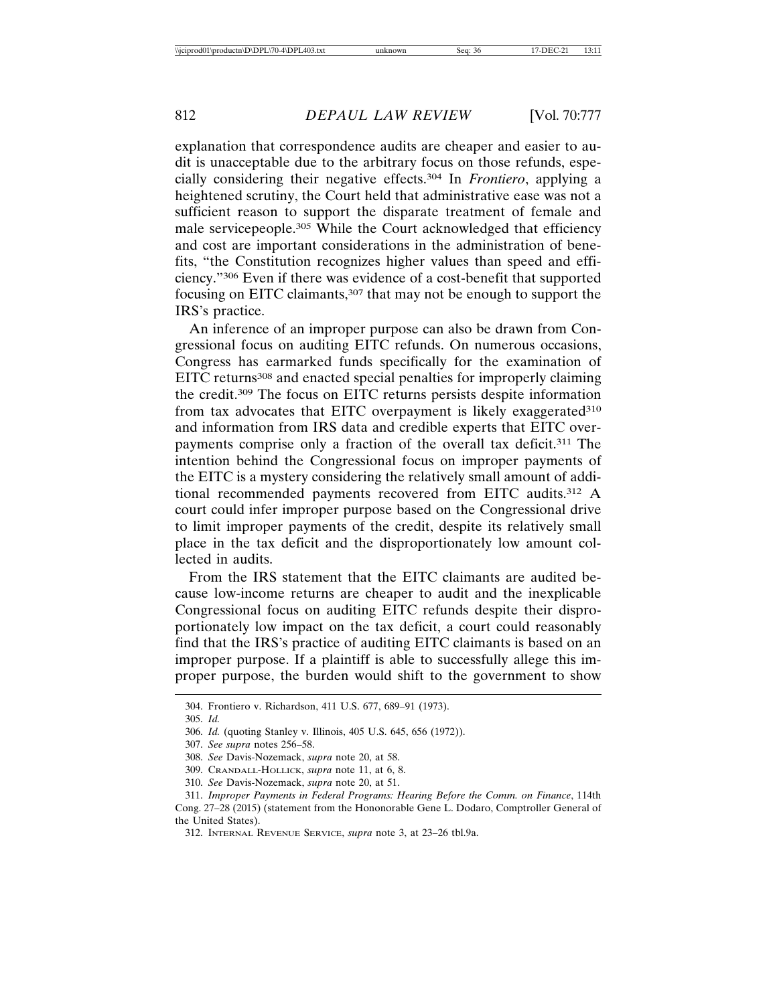explanation that correspondence audits are cheaper and easier to audit is unacceptable due to the arbitrary focus on those refunds, especially considering their negative effects.304 In *Frontiero*, applying a heightened scrutiny, the Court held that administrative ease was not a sufficient reason to support the disparate treatment of female and male servicepeople.305 While the Court acknowledged that efficiency and cost are important considerations in the administration of benefits, "the Constitution recognizes higher values than speed and efficiency."306 Even if there was evidence of a cost-benefit that supported focusing on EITC claimants,307 that may not be enough to support the IRS's practice.

An inference of an improper purpose can also be drawn from Congressional focus on auditing EITC refunds. On numerous occasions, Congress has earmarked funds specifically for the examination of EITC returns<sup>308</sup> and enacted special penalties for improperly claiming the credit.309 The focus on EITC returns persists despite information from tax advocates that EITC overpayment is likely exaggerated<sup>310</sup> and information from IRS data and credible experts that EITC overpayments comprise only a fraction of the overall tax deficit.311 The intention behind the Congressional focus on improper payments of the EITC is a mystery considering the relatively small amount of additional recommended payments recovered from EITC audits.312 A court could infer improper purpose based on the Congressional drive to limit improper payments of the credit, despite its relatively small place in the tax deficit and the disproportionately low amount collected in audits.

From the IRS statement that the EITC claimants are audited because low-income returns are cheaper to audit and the inexplicable Congressional focus on auditing EITC refunds despite their disproportionately low impact on the tax deficit, a court could reasonably find that the IRS's practice of auditing EITC claimants is based on an improper purpose. If a plaintiff is able to successfully allege this improper purpose, the burden would shift to the government to show

<sup>304.</sup> Frontiero v. Richardson, 411 U.S. 677, 689–91 (1973).

<sup>305.</sup> *Id.*

<sup>306.</sup> *Id.* (quoting Stanley v. Illinois, 405 U.S. 645, 656 (1972)).

<sup>307.</sup> *See supra* notes 256–58.

<sup>308.</sup> *See* Davis-Nozemack, *supra* note 20, at 58.

<sup>309.</sup> CRANDALL-HOLLICK, *supra* note 11, at 6, 8.

<sup>310.</sup> *See* Davis-Nozemack, *supra* note 20, at 51.

<sup>311.</sup> *Improper Payments in Federal Programs: Hearing Before the Comm. on Finance*, 114th Cong. 27–28 (2015) (statement from the Hononorable Gene L. Dodaro, Comptroller General of the United States).

<sup>312.</sup> INTERNAL REVENUE SERVICE, *supra* note 3, at 23–26 tbl.9a.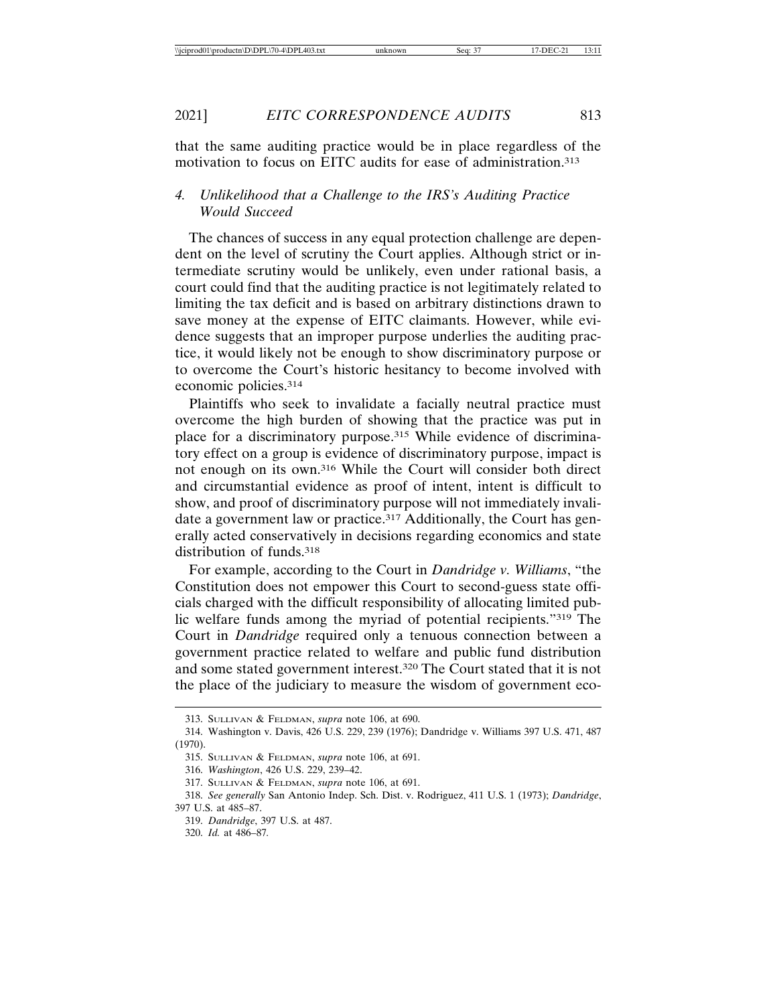that the same auditing practice would be in place regardless of the motivation to focus on EITC audits for ease of administration.313

## *4. Unlikelihood that a Challenge to the IRS's Auditing Practice Would Succeed*

The chances of success in any equal protection challenge are dependent on the level of scrutiny the Court applies. Although strict or intermediate scrutiny would be unlikely, even under rational basis, a court could find that the auditing practice is not legitimately related to limiting the tax deficit and is based on arbitrary distinctions drawn to save money at the expense of EITC claimants. However, while evidence suggests that an improper purpose underlies the auditing practice, it would likely not be enough to show discriminatory purpose or to overcome the Court's historic hesitancy to become involved with economic policies.314

Plaintiffs who seek to invalidate a facially neutral practice must overcome the high burden of showing that the practice was put in place for a discriminatory purpose.315 While evidence of discriminatory effect on a group is evidence of discriminatory purpose, impact is not enough on its own.316 While the Court will consider both direct and circumstantial evidence as proof of intent, intent is difficult to show, and proof of discriminatory purpose will not immediately invalidate a government law or practice.<sup>317</sup> Additionally, the Court has generally acted conservatively in decisions regarding economics and state distribution of funds.<sup>318</sup>

For example, according to the Court in *Dandridge v. Williams*, "the Constitution does not empower this Court to second-guess state officials charged with the difficult responsibility of allocating limited public welfare funds among the myriad of potential recipients."319 The Court in *Dandridge* required only a tenuous connection between a government practice related to welfare and public fund distribution and some stated government interest.320 The Court stated that it is not the place of the judiciary to measure the wisdom of government eco-

319. *Dandridge*, 397 U.S. at 487.

<sup>313.</sup> SULLIVAN & FELDMAN, *supra* note 106, at 690.

<sup>314.</sup> Washington v. Davis, 426 U.S. 229, 239 (1976); Dandridge v. Williams 397 U.S. 471, 487 (1970).

<sup>315.</sup> SULLIVAN & FELDMAN, *supra* note 106, at 691.

<sup>316.</sup> *Washington*, 426 U.S. 229, 239–42.

<sup>317.</sup> SULLIVAN & FELDMAN, *supra* note 106, at 691.

<sup>318.</sup> *See generally* San Antonio Indep. Sch. Dist. v. Rodriguez, 411 U.S. 1 (1973); *Dandridge*, 397 U.S. at 485–87.

<sup>320.</sup> *Id.* at 486–87*.*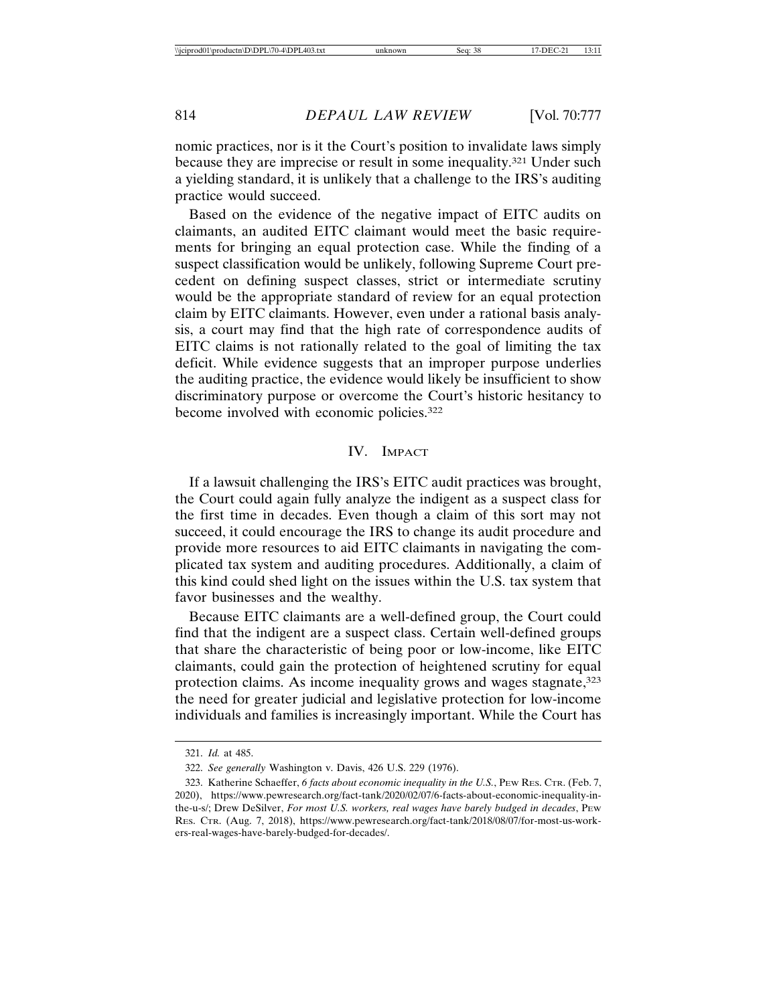nomic practices, nor is it the Court's position to invalidate laws simply because they are imprecise or result in some inequality.321 Under such a yielding standard, it is unlikely that a challenge to the IRS's auditing practice would succeed.

Based on the evidence of the negative impact of EITC audits on claimants, an audited EITC claimant would meet the basic requirements for bringing an equal protection case. While the finding of a suspect classification would be unlikely, following Supreme Court precedent on defining suspect classes, strict or intermediate scrutiny would be the appropriate standard of review for an equal protection claim by EITC claimants. However, even under a rational basis analysis, a court may find that the high rate of correspondence audits of EITC claims is not rationally related to the goal of limiting the tax deficit. While evidence suggests that an improper purpose underlies the auditing practice, the evidence would likely be insufficient to show discriminatory purpose or overcome the Court's historic hesitancy to become involved with economic policies.<sup>322</sup>

#### IV. IMPACT

If a lawsuit challenging the IRS's EITC audit practices was brought, the Court could again fully analyze the indigent as a suspect class for the first time in decades. Even though a claim of this sort may not succeed, it could encourage the IRS to change its audit procedure and provide more resources to aid EITC claimants in navigating the complicated tax system and auditing procedures. Additionally, a claim of this kind could shed light on the issues within the U.S. tax system that favor businesses and the wealthy.

Because EITC claimants are a well-defined group, the Court could find that the indigent are a suspect class. Certain well-defined groups that share the characteristic of being poor or low-income, like EITC claimants, could gain the protection of heightened scrutiny for equal protection claims. As income inequality grows and wages stagnate, 323 the need for greater judicial and legislative protection for low-income individuals and families is increasingly important. While the Court has

<sup>321.</sup> *Id.* at 485.

<sup>322.</sup> *See generally* Washington v. Davis, 426 U.S. 229 (1976).

<sup>323.</sup> Katherine Schaeffer, *6 facts about economic inequality in the U.S.*, PEW RES. CTR. (Feb. 7, 2020), https://www.pewresearch.org/fact-tank/2020/02/07/6-facts-about-economic-inequality-inthe-u-s/; Drew DeSilver, *For most U.S. workers, real wages have barely budged in decades*, PEW RES. CTR. (Aug. 7, 2018), https://www.pewresearch.org/fact-tank/2018/08/07/for-most-us-workers-real-wages-have-barely-budged-for-decades/.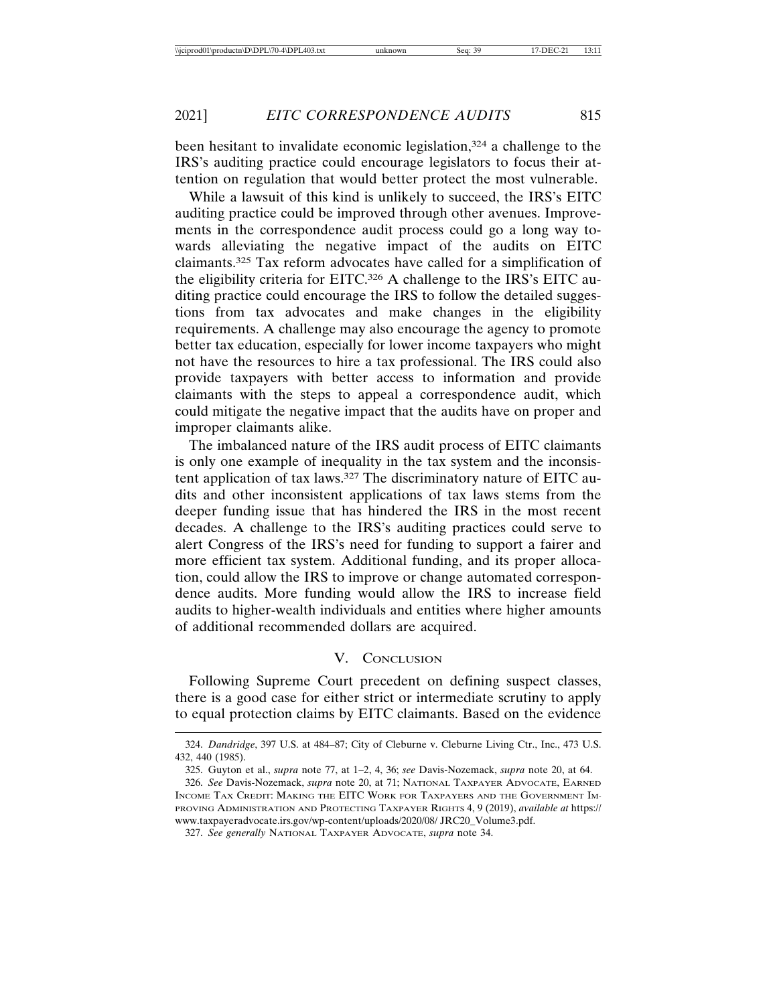been hesitant to invalidate economic legislation,<sup>324</sup> a challenge to the IRS's auditing practice could encourage legislators to focus their attention on regulation that would better protect the most vulnerable.

While a lawsuit of this kind is unlikely to succeed, the IRS's EITC auditing practice could be improved through other avenues. Improvements in the correspondence audit process could go a long way towards alleviating the negative impact of the audits on EITC claimants.325 Tax reform advocates have called for a simplification of the eligibility criteria for EITC.326 A challenge to the IRS's EITC auditing practice could encourage the IRS to follow the detailed suggestions from tax advocates and make changes in the eligibility requirements. A challenge may also encourage the agency to promote better tax education, especially for lower income taxpayers who might not have the resources to hire a tax professional. The IRS could also provide taxpayers with better access to information and provide claimants with the steps to appeal a correspondence audit, which could mitigate the negative impact that the audits have on proper and improper claimants alike.

The imbalanced nature of the IRS audit process of EITC claimants is only one example of inequality in the tax system and the inconsistent application of tax laws.327 The discriminatory nature of EITC audits and other inconsistent applications of tax laws stems from the deeper funding issue that has hindered the IRS in the most recent decades. A challenge to the IRS's auditing practices could serve to alert Congress of the IRS's need for funding to support a fairer and more efficient tax system. Additional funding, and its proper allocation, could allow the IRS to improve or change automated correspondence audits. More funding would allow the IRS to increase field audits to higher-wealth individuals and entities where higher amounts of additional recommended dollars are acquired.

## V. CONCLUSION

Following Supreme Court precedent on defining suspect classes, there is a good case for either strict or intermediate scrutiny to apply to equal protection claims by EITC claimants. Based on the evidence

327. *See generally* NATIONAL TAXPAYER ADVOCATE, *supra* note 34.

<sup>324.</sup> *Dandridge*, 397 U.S. at 484–87; City of Cleburne v. Cleburne Living Ctr., Inc., 473 U.S. 432, 440 (1985).

<sup>325.</sup> Guyton et al., *supra* note 77, at 1–2, 4, 36; *see* Davis-Nozemack, *supra* note 20, at 64.

<sup>326.</sup> *See* Davis-Nozemack, *supra* note 20, at 71; NATIONAL TAXPAYER ADVOCATE, EARNED INCOME TAX CREDIT: MAKING THE EITC WORK FOR TAXPAYERS AND THE GOVERNMENT IM-PROVING ADMINISTRATION AND PROTECTING TAXPAYER RIGHTS 4, 9 (2019), *available at* https:// www.taxpayeradvocate.irs.gov/wp-content/uploads/2020/08/ JRC20\_Volume3.pdf.